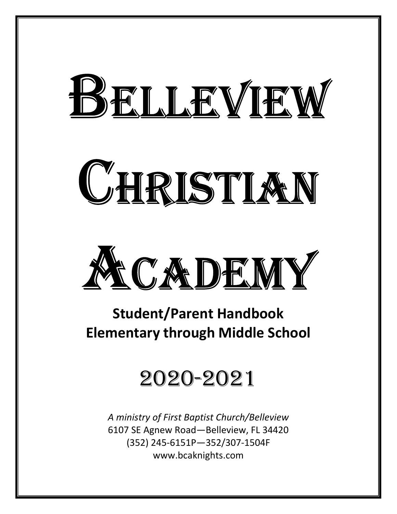# BELLEVIEW

# CHRISTIAN



# **Student/Parent Handbook Elementary through Middle School**

# 2020-2021

*A ministry of First Baptist Church/Belleview* 6107 SE Agnew Road—Belleview, FL 34420 (352) 245-6151P—352/307-1504F www.bcaknights.com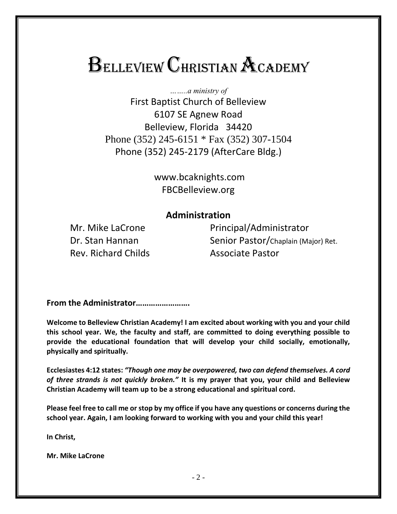# **BELLEVIEW CHRISTIAN ACADEMY**

*……..a ministry of* First Baptist Church of Belleview 6107 SE Agnew Road Belleview, Florida 34420 Phone (352) 245-6151 \* Fax (352) 307-1504 Phone (352) 245-2179 (AfterCare Bldg.)

> www.bcaknights.com FBCBelleview.org

#### **Administration**

Rev. Richard Childs **Associate Pastor** 

Mr. Mike LaCrone Principal/Administrator Dr. Stan Hannan Senior Pastor/Chaplain (Major) Ret.

**From the Administrator…………………….**

**Welcome to Belleview Christian Academy! I am excited about working with you and your child this school year. We, the faculty and staff, are committed to doing everything possible to provide the educational foundation that will develop your child socially, emotionally, physically and spiritually.**

**Ecclesiastes 4:12 states:** *"Though one may be overpowered, two can defend themselves. A cord of three strands is not quickly broken."* **It is my prayer that you, your child and Belleview Christian Academy will team up to be a strong educational and spiritual cord.**

**Please feel free to call me or stop by my office if you have any questions or concerns during the school year. Again, I am looking forward to working with you and your child this year!**

**In Christ,**

**Mr. Mike LaCrone**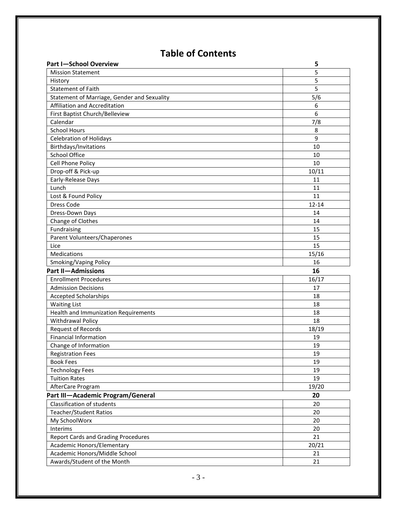# **Table of Contents**

| <b>Part I-School Overview</b>               | 5         |
|---------------------------------------------|-----------|
| <b>Mission Statement</b>                    | 5         |
| History                                     | 5         |
| <b>Statement of Faith</b>                   | 5         |
| Statement of Marriage, Gender and Sexuality | 5/6       |
| Affiliation and Accreditation               | 6         |
| First Baptist Church/Belleview              | 6         |
| Calendar                                    | 7/8       |
| <b>School Hours</b>                         | 8         |
| <b>Celebration of Holidays</b>              | 9         |
| Birthdays/Invitations                       | 10        |
| School Office                               | 10        |
| Cell Phone Policy                           | 10        |
| Drop-off & Pick-up                          | 10/11     |
| Early-Release Days                          | 11        |
| Lunch                                       | 11        |
| Lost & Found Policy                         | 11        |
| Dress Code                                  | $12 - 14$ |
| Dress-Down Days                             | 14        |
| Change of Clothes                           | 14        |
| Fundraising                                 | 15        |
| <b>Parent Volunteers/Chaperones</b>         | 15        |
| Lice                                        | 15        |
| Medications                                 | 15/16     |
| Smoking/Vaping Policy                       | 16        |
| <b>Part II-Admissions</b>                   | 16        |
| <b>Enrollment Procedures</b>                | 16/17     |
| <b>Admission Decisions</b>                  | 17        |
| Accepted Scholarships                       | 18        |
| <b>Waiting List</b>                         | 18        |
| Health and Immunization Requirements        | 18        |
| Withdrawal Policy                           | 18        |
| <b>Request of Records</b>                   | 18/19     |
| <b>Financial Information</b>                | 19        |
| Change of Information                       | 19        |
| <b>Registration Fees</b>                    | 19        |
| <b>Book Fees</b>                            | 19        |
| <b>Technology Fees</b>                      | 19        |
| <b>Tuition Rates</b>                        | 19        |
| AfterCare Program                           | 19/20     |
| Part III-Academic Program/General           | 20        |
| <b>Classification of students</b>           | 20        |
| <b>Teacher/Student Ratios</b>               | 20        |
| My SchoolWorx                               | 20        |
| Interims                                    | 20        |
| <b>Report Cards and Grading Procedures</b>  | 21        |
| Academic Honors/Elementary                  | 20/21     |
| Academic Honors/Middle School               | 21        |
|                                             |           |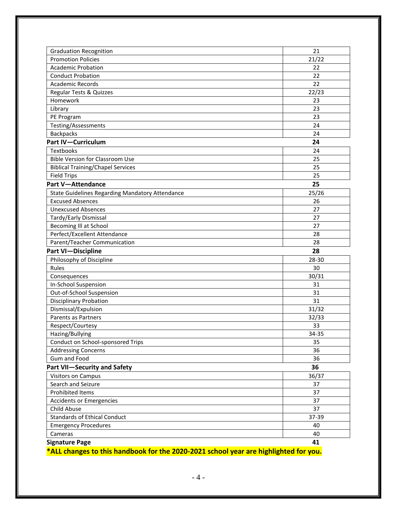| <b>Graduation Recognition</b>                          | 21    |
|--------------------------------------------------------|-------|
| <b>Promotion Policies</b>                              | 21/22 |
| <b>Academic Probation</b>                              | 22    |
| <b>Conduct Probation</b>                               | 22    |
| <b>Academic Records</b>                                | 22    |
| Regular Tests & Quizzes                                | 22/23 |
| Homework                                               | 23    |
| Library                                                | 23    |
| PE Program                                             | 23    |
| Testing/Assessments                                    | 24    |
| <b>Backpacks</b>                                       | 24    |
| <b>Part IV-Curriculum</b>                              | 24    |
| <b>Textbooks</b>                                       | 24    |
| <b>Bible Version for Classroom Use</b>                 | 25    |
| <b>Biblical Training/Chapel Services</b>               | 25    |
| <b>Field Trips</b>                                     | 25    |
| <b>Part V-Attendance</b>                               | 25    |
| <b>State Guidelines Regarding Mandatory Attendance</b> | 25/26 |
| <b>Excused Absences</b>                                | 26    |
| <b>Unexcused Absences</b>                              | 27    |
| Tardy/Early Dismissal                                  | 27    |
| Becoming Ill at School                                 | 27    |
| Perfect/Excellent Attendance                           | 28    |
| Parent/Teacher Communication                           | 28    |
| <b>Part VI-Discipline</b>                              | 28    |
| Philosophy of Discipline                               | 28-30 |
| Rules                                                  | 30    |
| Consequences                                           | 30/31 |
| In-School Suspension                                   | 31    |
| Out-of-School Suspension                               | 31    |
| <b>Disciplinary Probation</b>                          | 31    |
| Dismissal/Expulsion                                    | 31/32 |
| Parents as Partners                                    | 32/33 |
| Respect/Courtesy                                       | 33    |
| Hazing/Bullying                                        | 34-35 |
| Conduct on School-sponsored Trips                      | 35    |
| <b>Addressing Concerns</b>                             | 36    |
| Gum and Food                                           | 36    |
| <b>Part VII-Security and Safety</b>                    | 36    |
| <b>Visitors on Campus</b>                              | 36/37 |
| Search and Seizure                                     | 37    |
| Prohibited Items                                       | 37    |
| <b>Accidents or Emergencies</b>                        | 37    |
| Child Abuse                                            | 37    |
| <b>Standards of Ethical Conduct</b>                    | 37-39 |
| <b>Emergency Procedures</b>                            | 40    |
| Cameras                                                | 40    |
| <b>Signature Page</b>                                  | 41    |
|                                                        |       |

**\*ALL changes to this handbook for the 2020-2021 school year are highlighted for you.**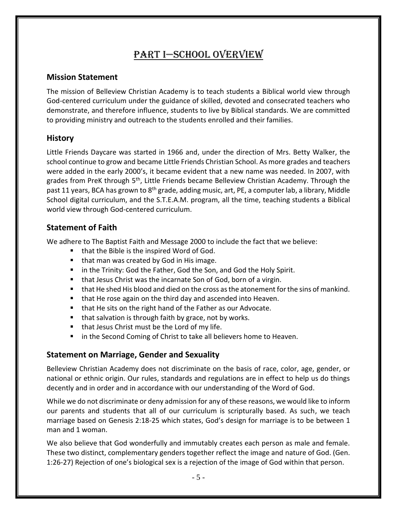# Part I—SCHOOL OVERVIEW

#### **Mission Statement**

The mission of Belleview Christian Academy is to teach students a Biblical world view through God-centered curriculum under the guidance of skilled, devoted and consecrated teachers who demonstrate, and therefore influence, students to live by Biblical standards. We are committed to providing ministry and outreach to the students enrolled and their families.

#### **History**

Little Friends Daycare was started in 1966 and, under the direction of Mrs. Betty Walker, the school continue to grow and became Little Friends Christian School. As more grades and teachers were added in the early 2000's, it became evident that a new name was needed. In 2007, with grades from PreK through 5<sup>th</sup>, Little Friends became Belleview Christian Academy. Through the past 11 years, BCA has grown to 8<sup>th</sup> grade, adding music, art, PE, a computer lab, a library, Middle School digital curriculum, and the S.T.E.A.M. program, all the time, teaching students a Biblical world view through God-centered curriculum.

#### **Statement of Faith**

We adhere to The Baptist Faith and Message 2000 to include the fact that we believe:

- that the Bible is the inspired Word of God.
- that man was created by God in His image.
- in the Trinity: God the Father, God the Son, and God the Holy Spirit.
- that Jesus Christ was the incarnate Son of God, born of a virgin.
- that He shed His blood and died on the cross as the atonement for the sins of mankind.
- that He rose again on the third day and ascended into Heaven.
- that He sits on the right hand of the Father as our Advocate.
- that salvation is through faith by grace, not by works.
- that Jesus Christ must be the Lord of my life.
- in the Second Coming of Christ to take all believers home to Heaven.

#### **Statement on Marriage, Gender and Sexuality**

Belleview Christian Academy does not discriminate on the basis of race, color, age, gender, or national or ethnic origin. Our rules, standards and regulations are in effect to help us do things decently and in order and in accordance with our understanding of the Word of God.

While we do not discriminate or deny admission for any of these reasons, we would like to inform our parents and students that all of our curriculum is scripturally based. As such, we teach marriage based on Genesis 2:18-25 which states, God's design for marriage is to be between 1 man and 1 woman.

We also believe that God wonderfully and immutably creates each person as male and female. These two distinct, complementary genders together reflect the image and nature of God. (Gen. 1:26-27) Rejection of one's biological sex is a rejection of the image of God within that person.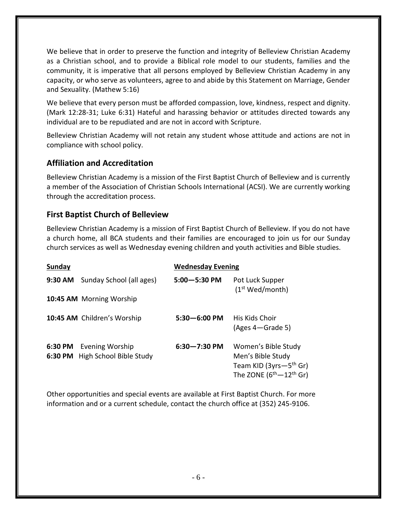We believe that in order to preserve the function and integrity of Belleview Christian Academy as a Christian school, and to provide a Biblical role model to our students, families and the community, it is imperative that all persons employed by Belleview Christian Academy in any capacity, or who serve as volunteers, agree to and abide by this Statement on Marriage, Gender and Sexuality. (Mathew 5:16)

We believe that every person must be afforded compassion, love, kindness, respect and dignity. (Mark 12:28-31; Luke 6:31) Hateful and harassing behavior or attitudes directed towards any individual are to be repudiated and are not in accord with Scripture.

Belleview Christian Academy will not retain any student whose attitude and actions are not in compliance with school policy.

#### **Affiliation and Accreditation**

Belleview Christian Academy is a mission of the First Baptist Church of Belleview and is currently a member of the Association of Christian Schools International (ACSI). We are currently working through the accreditation process.

#### **First Baptist Church of Belleview**

Belleview Christian Academy is a mission of First Baptist Church of Belleview. If you do not have a church home, all BCA students and their families are encouraged to join us for our Sunday church services as well as Wednesday evening children and youth activities and Bible studies.

| Sunday  |                                                    | <b>Wednesday Evening</b> |                                                                                                         |
|---------|----------------------------------------------------|--------------------------|---------------------------------------------------------------------------------------------------------|
| 9:30 AM | Sunday School (all ages)                           | $5:00 - 5:30$ PM         | Pot Luck Supper<br>(1 <sup>st</sup> Wed/month)                                                          |
|         | 10:45 AM Morning Worship                           |                          |                                                                                                         |
|         | 10:45 AM Children's Worship                        | $5:30 - 6:00$ PM         | His Kids Choir<br>(Ages 4-Grade 5)                                                                      |
| 6:30 PM | Evening Worship<br>6:30 PM High School Bible Study | $6:30 - 7:30$ PM         | Women's Bible Study<br>Men's Bible Study<br>Team KID ( $3yrs-5th$ Gr)<br>The ZONE $(6^{th}-12^{th}$ Gr) |

Other opportunities and special events are available at First Baptist Church. For more information and or a current schedule, contact the church office at (352) 245-9106.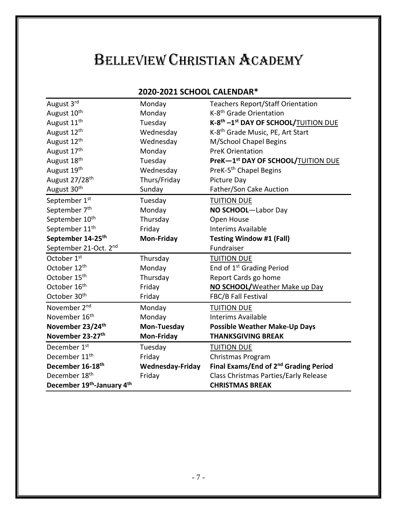# BELLEVIEW CHRISTIAN ACADEMY

#### **2020-2021 SCHOOL CALENDAR\***

| August 3rd                 | Monday                  | <b>Teachers Report/Staff Orientation</b>                     |
|----------------------------|-------------------------|--------------------------------------------------------------|
| August 10 <sup>th</sup>    | Monday                  | K-8 <sup>th</sup> Grade Orientation                          |
| August 11 <sup>th</sup>    | Tuesday                 | K-8 <sup>th</sup> -1 <sup>st</sup> DAY OF SCHOOL/TUITION DUE |
| August 12 <sup>th</sup>    | Wednesday               | K-8 <sup>th</sup> Grade Music, PE, Art Start                 |
| August 12 <sup>th</sup>    | Wednesday               | M/School Chapel Begins                                       |
| August 17 <sup>th</sup>    | Monday                  | <b>PreK Orientation</b>                                      |
| August 18th                | Tuesday                 | PreK-1st DAY OF SCHOOL/TUITION DUE                           |
| August 19th                | Wednesday               | PreK-5 <sup>th</sup> Chapel Begins                           |
| August 27/28 <sup>th</sup> | Thurs/Friday            | Picture Day                                                  |
| August 30th                | Sunday                  | Father/Son Cake Auction                                      |
| September 1st              | Tuesday                 | <b>TUITION DUE</b>                                           |
| September 7 <sup>th</sup>  | Monday                  | NO SCHOOL-Labor Day                                          |
| September 10 <sup>th</sup> | Thursday                | Open House                                                   |
| September 11 <sup>th</sup> | Friday                  | <b>Interims Available</b>                                    |
| September 14-25th          | <b>Mon-Friday</b>       | <b>Testing Window #1 (Fall)</b>                              |
| September 21-Oct. 2nd      |                         | Fundraiser                                                   |
| October 1st                | Thursday                | <b>TUITION DUE</b>                                           |
| October 12th               | Monday                  | End of 1 <sup>st</sup> Grading Period                        |
| October 15 <sup>th</sup>   | Thursday                | Report Cards go home                                         |
| October 16 <sup>th</sup>   | Friday                  | NO SCHOOL/Weather Make up Day                                |
| October 30 <sup>th</sup>   | Friday                  | FBC/B Fall Festival                                          |
| November 2 <sup>nd</sup>   | Monday                  | <b>TUITION DUE</b>                                           |
| November 16 <sup>th</sup>  | Monday                  | <b>Interims Available</b>                                    |
| November 23/24th           | Mon-Tuesday             | <b>Possible Weather Make-Up Days</b>                         |
| November 23-27th           | <b>Mon-Friday</b>       | <b>THANKSGIVING BREAK</b>                                    |
| December 1st               | Tuesday                 | <b>TUITION DUE</b>                                           |
| December 11 <sup>th</sup>  | Friday                  | Christmas Program                                            |
| December 16-18th           | <b>Wednesday-Friday</b> | Final Exams/End of 2 <sup>nd</sup> Grading Period            |
| December 18 <sup>th</sup>  | Friday                  | Class Christmas Parties/Early Release                        |
| December 19th-January 4th  |                         | <b>CHRISTMAS BREAK</b>                                       |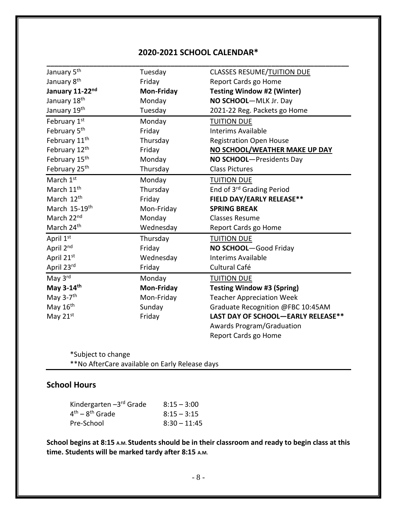#### **2020-2021 SCHOOL CALENDAR\***

| January 5 <sup>th</sup>   | Tuesday           | <b>CLASSES RESUME/TUITION DUE</b>     |
|---------------------------|-------------------|---------------------------------------|
| January 8 <sup>th</sup>   | Friday            | Report Cards go Home                  |
| January 11-22nd           | Mon-Friday        | <b>Testing Window #2 (Winter)</b>     |
| January 18th              | Monday            | NO SCHOOL-MLK Jr. Day                 |
| January 19th              | Tuesday           | 2021-22 Reg. Packets go Home          |
| February 1st              | Monday            | <b>TUITION DUE</b>                    |
| February 5 <sup>th</sup>  | Friday            | <b>Interims Available</b>             |
| February 11 <sup>th</sup> | Thursday          | <b>Registration Open House</b>        |
| February 12th             | Friday            | NO SCHOOL/WEATHER MAKE UP DAY         |
| February 15th             | Monday            | NO SCHOOL-Presidents Day              |
| February 25 <sup>th</sup> | Thursday          | <b>Class Pictures</b>                 |
| March 1st                 | Monday            | <b>TUITION DUE</b>                    |
| March 11 <sup>th</sup>    | Thursday          | End of 3 <sup>rd</sup> Grading Period |
| March 12 <sup>th</sup>    | Friday            | <b>FIELD DAY/EARLY RELEASE**</b>      |
| March 15-19th             | Mon-Friday        | <b>SPRING BREAK</b>                   |
| March 22nd                | Monday            | <b>Classes Resume</b>                 |
| March 24th                | Wednesday         | Report Cards go Home                  |
| April 1st                 | Thursday          | <b>TUITION DUE</b>                    |
| April 2nd                 | Friday            | NO SCHOOL-Good Friday                 |
| April 21st                | Wednesday         | <b>Interims Available</b>             |
| April 23rd                | Friday            | Cultural Café                         |
| May 3rd                   | Monday            | <b>TUITION DUE</b>                    |
| May 3-14th                | <b>Mon-Friday</b> | <b>Testing Window #3 (Spring)</b>     |
| May 3-7 <sup>th</sup>     | Mon-Friday        | <b>Teacher Appreciation Week</b>      |
| May 16 <sup>th</sup>      | Sunday            | Graduate Recognition @FBC 10:45AM     |
| May 21st                  | Friday            | LAST DAY OF SCHOOL-EARLY RELEASE**    |
|                           |                   | <b>Awards Program/Graduation</b>      |
|                           |                   | Report Cards go Home                  |

\*Subject to change \*\*No AfterCare available on Early Release days

#### **School Hours**

| Kindergarten -3rd Grade | $8:15 - 3:00$  |
|-------------------------|----------------|
| $4th - 8th$ Grade       | $8:15 - 3:15$  |
| Pre-School              | $8:30 - 11:45$ |

**School begins at 8:15 A.M. Students should be in their classroom and ready to begin class at this time. Students will be marked tardy after 8:15 A.M.**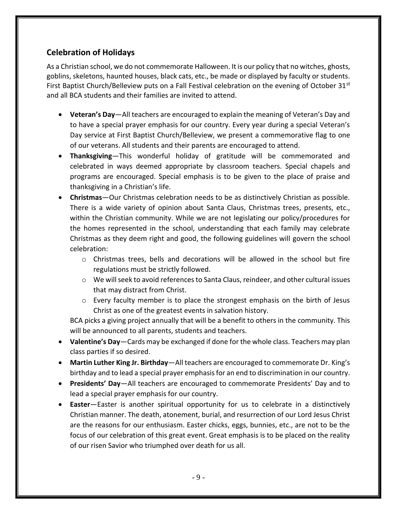#### **Celebration of Holidays**

As a Christian school, we do not commemorate Halloween. It is our policy that no witches, ghosts, goblins, skeletons, haunted houses, black cats, etc., be made or displayed by faculty or students. First Baptist Church/Belleview puts on a Fall Festival celebration on the evening of October 31<sup>st</sup> and all BCA students and their families are invited to attend.

- **Veteran's Day**—All teachers are encouraged to explain the meaning of Veteran's Day and to have a special prayer emphasis for our country. Every year during a special Veteran's Day service at First Baptist Church/Belleview, we present a commemorative flag to one of our veterans. All students and their parents are encouraged to attend.
- **Thanksgiving**—This wonderful holiday of gratitude will be commemorated and celebrated in ways deemed appropriate by classroom teachers. Special chapels and programs are encouraged. Special emphasis is to be given to the place of praise and thanksgiving in a Christian's life.
- **Christmas**—Our Christmas celebration needs to be as distinctively Christian as possible. There is a wide variety of opinion about Santa Claus, Christmas trees, presents, etc., within the Christian community. While we are not legislating our policy/procedures for the homes represented in the school, understanding that each family may celebrate Christmas as they deem right and good, the following guidelines will govern the school celebration:
	- $\circ$  Christmas trees, bells and decorations will be allowed in the school but fire regulations must be strictly followed.
	- $\circ$  We will seek to avoid references to Santa Claus, reindeer, and other cultural issues that may distract from Christ.
	- $\circ$  Every faculty member is to place the strongest emphasis on the birth of Jesus Christ as one of the greatest events in salvation history.

BCA picks a giving project annually that will be a benefit to others in the community. This will be announced to all parents, students and teachers.

- **Valentine's Day**—Cards may be exchanged if done for the whole class. Teachers may plan class parties if so desired.
- **Martin Luther King Jr. Birthday**—All teachers are encouraged to commemorate Dr. King's birthday and to lead a special prayer emphasis for an end to discrimination in our country.
- **Presidents' Day**—All teachers are encouraged to commemorate Presidents' Day and to lead a special prayer emphasis for our country.
- **Easter**—Easter is another spiritual opportunity for us to celebrate in a distinctively Christian manner. The death, atonement, burial, and resurrection of our Lord Jesus Christ are the reasons for our enthusiasm. Easter chicks, eggs, bunnies, etc., are not to be the focus of our celebration of this great event. Great emphasis is to be placed on the reality of our risen Savior who triumphed over death for us all.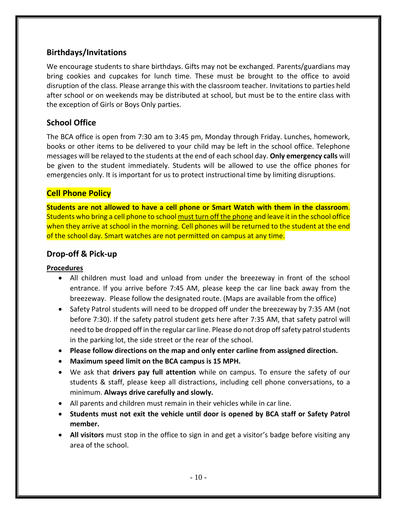#### **Birthdays/Invitations**

We encourage students to share birthdays. Gifts may not be exchanged. Parents/guardians may bring cookies and cupcakes for lunch time. These must be brought to the office to avoid disruption of the class. Please arrange this with the classroom teacher. Invitations to parties held after school or on weekends may be distributed at school, but must be to the entire class with the exception of Girls or Boys Only parties.

#### **School Office**

The BCA office is open from 7:30 am to 3:45 pm, Monday through Friday. Lunches, homework, books or other items to be delivered to your child may be left in the school office. Telephone messages will be relayed to the students at the end of each school day. **Only emergency calls** will be given to the student immediately. Students will be allowed to use the office phones for emergencies only. It is important for us to protect instructional time by limiting disruptions.

#### **Cell Phone Policy**

**Students are not allowed to have a cell phone or Smart Watch with them in the classroom**. Students who bring a cell phone to school must turn off the phone and leave it in the school office when they arrive at school in the morning. Cell phones will be returned to the student at the end of the school day. Smart watches are not permitted on campus at any time.

#### **Drop-off & Pick-up**

#### **Procedures**

- All children must load and unload from under the breezeway in front of the school entrance. If you arrive before 7:45 AM, please keep the car line back away from the breezeway. Please follow the designated route. (Maps are available from the office)
- Safety Patrol students will need to be dropped off under the breezeway by 7:35 AM (not before 7:30). If the safety patrol student gets here after 7:35 AM, that safety patrol will need to be dropped off in the regular car line. Please do not drop off safety patrol students in the parking lot, the side street or the rear of the school.
- **Please follow directions on the map and only enter carline from assigned direction.**
- **Maximum speed limit on the BCA campus is 15 MPH.**
- We ask that **drivers pay full attention** while on campus. To ensure the safety of our students & staff, please keep all distractions, including cell phone conversations, to a minimum. **Always drive carefully and slowly.**
- All parents and children must remain in their vehicles while in car line.
- **Students must not exit the vehicle until door is opened by BCA staff or Safety Patrol member.**
- **All visitors** must stop in the office to sign in and get a visitor's badge before visiting any area of the school.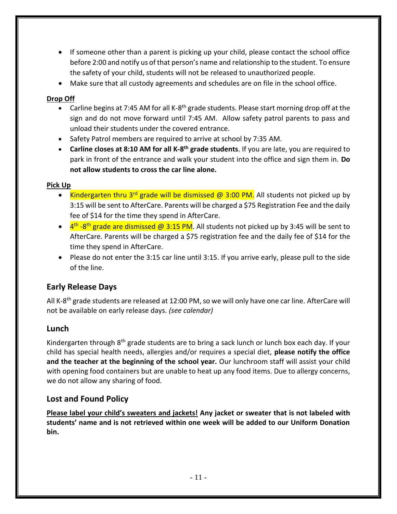- If someone other than a parent is picking up your child, please contact the school office before 2:00 and notify us of that person's name and relationship to the student. To ensure the safety of your child, students will not be released to unauthorized people.
- Make sure that all custody agreements and schedules are on file in the school office.

#### **Drop Off**

- Carline begins at 7:45 AM for all K-8<sup>th</sup> grade students. Please start morning drop off at the sign and do not move forward until 7:45 AM. Allow safety patrol parents to pass and unload their students under the covered entrance.
- Safety Patrol members are required to arrive at school by 7:35 AM.
- **Carline closes at 8:10 AM for all K-8<sup>th</sup> grade students**. If you are late, you are required to park in front of the entrance and walk your student into the office and sign them in. **Do not allow students to cross the car line alone.**

#### **Pick Up**

- Kindergarten thru 3<sup>rd</sup> grade will be dismissed @ 3:00 PM. All students not picked up by 3:15 will be sent to AfterCare. Parents will be charged a \$75 Registration Fee and the daily fee of \$14 for the time they spend in AfterCare.
- 4<sup>th</sup> -8<sup>th</sup> grade are dismissed @ 3:15 PM. All students not picked up by 3:45 will be sent to AfterCare. Parents will be charged a \$75 registration fee and the daily fee of \$14 for the time they spend in AfterCare.
- Please do not enter the 3:15 car line until 3:15. If you arrive early, please pull to the side of the line.

#### **Early Release Days**

All K-8<sup>th</sup> grade students are released at 12:00 PM, so we will only have one car line. AfterCare will not be available on early release days. *(see calendar)*

#### **Lunch**

Kindergarten through 8<sup>th</sup> grade students are to bring a sack lunch or lunch box each day. If your child has special health needs, allergies and/or requires a special diet, **please notify the office and the teacher at the beginning of the school year.** Our lunchroom staff will assist your child with opening food containers but are unable to heat up any food items. Due to allergy concerns, we do not allow any sharing of food.

#### **Lost and Found Policy**

**Please label your child's sweaters and jackets! Any jacket or sweater that is not labeled with students' name and is not retrieved within one week will be added to our Uniform Donation bin.**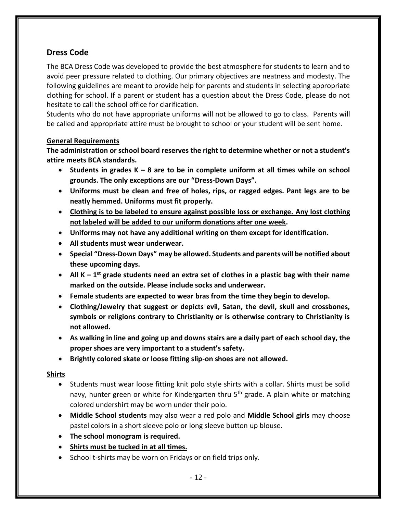#### **Dress Code**

The BCA Dress Code was developed to provide the best atmosphere for students to learn and to avoid peer pressure related to clothing. Our primary objectives are neatness and modesty. The following guidelines are meant to provide help for parents and students in selecting appropriate clothing for school. If a parent or student has a question about the Dress Code, please do not hesitate to call the school office for clarification.

Students who do not have appropriate uniforms will not be allowed to go to class. Parents will be called and appropriate attire must be brought to school or your student will be sent home.

#### **General Requirements**

**The administration or school board reserves the right to determine whether or not a student's attire meets BCA standards.**

- **Students in grades K – 8 are to be in complete uniform at all times while on school grounds. The only exceptions are our "Dress-Down Days".**
- **Uniforms must be clean and free of holes, rips, or ragged edges. Pant legs are to be neatly hemmed. Uniforms must fit properly.**
- **Clothing is to be labeled to ensure against possible loss or exchange. Any lost clothing not labeled will be added to our uniform donations after one week.**
- **Uniforms may not have any additional writing on them except for identification.**
- **All students must wear underwear.**
- **Special "Dress-Down Days" may be allowed. Students and parents will be notified about these upcoming days.**
- All K 1<sup>st</sup> grade students need an extra set of clothes in a plastic bag with their name **marked on the outside. Please include socks and underwear.**
- **Female students are expected to wear bras from the time they begin to develop.**
- **Clothing/Jewelry that suggest or depicts evil, Satan, the devil, skull and crossbones, symbols or religions contrary to Christianity or is otherwise contrary to Christianity is not allowed.**
- **As walking in line and going up and downs stairs are a daily part of each school day, the proper shoes are very important to a student's safety.**
- **Brightly colored skate or loose fitting slip-on shoes are not allowed.**

#### **Shirts**

- Students must wear loose fitting knit polo style shirts with a collar. Shirts must be solid navy, hunter green or white for Kindergarten thru 5<sup>th</sup> grade. A plain white or matching colored undershirt may be worn under their polo.
- **Middle School students** may also wear a red polo and **Middle School girls** may choose pastel colors in a short sleeve polo or long sleeve button up blouse.
- **The school monogram is required.**
- **Shirts must be tucked in at all times.**
- School t-shirts may be worn on Fridays or on field trips only.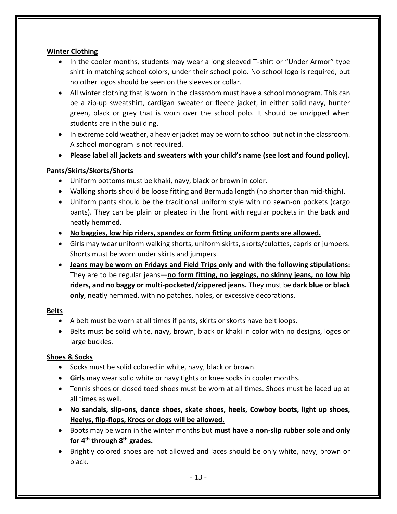#### **Winter Clothing**

- In the cooler months, students may wear a long sleeved T-shirt or "Under Armor" type shirt in matching school colors, under their school polo. No school logo is required, but no other logos should be seen on the sleeves or collar.
- All winter clothing that is worn in the classroom must have a school monogram. This can be a zip-up sweatshirt, cardigan sweater or fleece jacket, in either solid navy, hunter green, black or grey that is worn over the school polo. It should be unzipped when students are in the building.
- In extreme cold weather, a heavier jacket may be worn to school but not in the classroom. A school monogram is not required.
- **Please label all jackets and sweaters with your child's name (see lost and found policy).**

#### **Pants/Skirts/Skorts/Shorts**

- Uniform bottoms must be khaki, navy, black or brown in color.
- Walking shorts should be loose fitting and Bermuda length (no shorter than mid-thigh).
- Uniform pants should be the traditional uniform style with no sewn-on pockets (cargo pants). They can be plain or pleated in the front with regular pockets in the back and neatly hemmed.
- **No baggies, low hip riders, spandex or form fitting uniform pants are allowed.**
- Girls may wear uniform walking shorts, uniform skirts, skorts/culottes, capris or jumpers. Shorts must be worn under skirts and jumpers.
- **Jeans may be worn on Fridays and Field Trips only and with the following stipulations:**  They are to be regular jeans—**no form fitting, no jeggings, no skinny jeans, no low hip riders, and no baggy or multi-pocketed/zippered jeans.** They must be **dark blue or black only**, neatly hemmed, with no patches, holes, or excessive decorations.

#### **Belts**

- A belt must be worn at all times if pants, skirts or skorts have belt loops.
- Belts must be solid white, navy, brown, black or khaki in color with no designs, logos or large buckles.

#### **Shoes & Socks**

- Socks must be solid colored in white, navy, black or brown.
- **Girls** may wear solid white or navy tights or knee socks in cooler months.
- Tennis shoes or closed toed shoes must be worn at all times. Shoes must be laced up at all times as well.
- **No sandals, slip-ons, dance shoes, skate shoes, heels, Cowboy boots, light up shoes, Heelys, flip-flops, Krocs or clogs will be allowed.**
- Boots may be worn in the winter months but **must have a non-slip rubber sole and only for 4th through 8th grades.**
- Brightly colored shoes are not allowed and laces should be only white, navy, brown or black.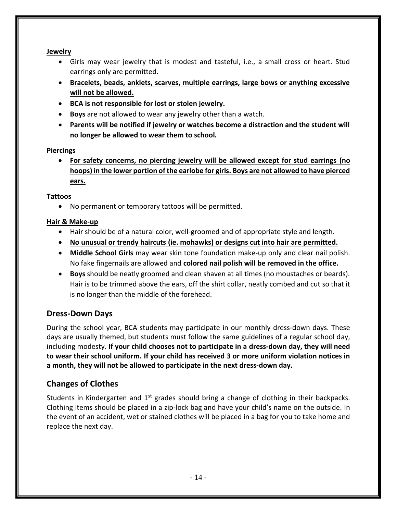#### **Jewelry**

- Girls may wear jewelry that is modest and tasteful, i.e., a small cross or heart. Stud earrings only are permitted.
- **Bracelets, beads, anklets, scarves, multiple earrings, large bows or anything excessive will not be allowed.**
- **BCA is not responsible for lost or stolen jewelry.**
- **Boys** are not allowed to wear any jewelry other than a watch.
- **Parents will be notified if jewelry or watches become a distraction and the student will no longer be allowed to wear them to school.**

#### **Piercings**

• **For safety concerns, no piercing jewelry will be allowed except for stud earrings (no hoops) in the lower portion of the earlobe for girls. Boys are not allowed to have pierced ears.**

#### **Tattoos**

• No permanent or temporary tattoos will be permitted.

#### **Hair & Make-up**

- Hair should be of a natural color, well-groomed and of appropriate style and length.
- **No unusual or trendy haircuts (ie. mohawks) or designs cut into hair are permitted.**
- **Middle School Girls** may wear skin tone foundation make-up only and clear nail polish. No fake fingernails are allowed and **colored nail polish will be removed in the office.**
- **Boys** should be neatly groomed and clean shaven at all times (no moustaches or beards). Hair is to be trimmed above the ears, off the shirt collar, neatly combed and cut so that it is no longer than the middle of the forehead.

#### **Dress-Down Days**

During the school year, BCA students may participate in our monthly dress-down days. These days are usually themed, but students must follow the same guidelines of a regular school day, including modesty. **If your child chooses not to participate in a dress-down day, they will need to wear their school uniform. If your child has received 3 or more uniform violation notices in a month, they will not be allowed to participate in the next dress-down day.**

#### **Changes of Clothes**

Students in Kindergarten and 1<sup>st</sup> grades should bring a change of clothing in their backpacks. Clothing items should be placed in a zip-lock bag and have your child's name on the outside. In the event of an accident, wet or stained clothes will be placed in a bag for you to take home and replace the next day.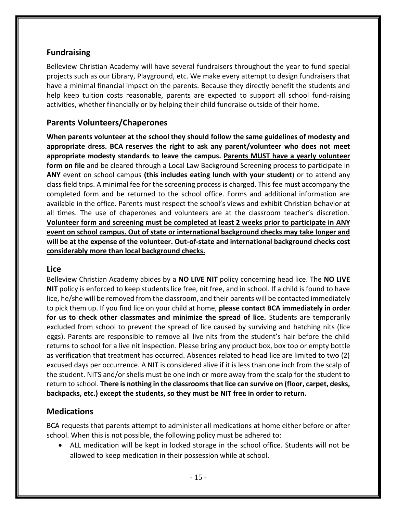#### **Fundraising**

Belleview Christian Academy will have several fundraisers throughout the year to fund special projects such as our Library, Playground, etc. We make every attempt to design fundraisers that have a minimal financial impact on the parents. Because they directly benefit the students and help keep tuition costs reasonable, parents are expected to support all school fund-raising activities, whether financially or by helping their child fundraise outside of their home.

#### **Parents Volunteers/Chaperones**

**When parents volunteer at the school they should follow the same guidelines of modesty and appropriate dress. BCA reserves the right to ask any parent/volunteer who does not meet appropriate modesty standards to leave the campus. Parents MUST have a yearly volunteer form on file** and be cleared through a Local Law Background Screening process to participate in **ANY** event on school campus **(this includes eating lunch with your student**) or to attend any class field trips. A minimal fee for the screening process is charged. This fee must accompany the completed form and be returned to the school office. Forms and additional information are available in the office. Parents must respect the school's views and exhibit Christian behavior at all times. The use of chaperones and volunteers are at the classroom teacher's discretion. **Volunteer form and screening must be completed at least 2 weeks prior to participate in ANY event on school campus. Out of state or international background checks may take longer and will be at the expense of the volunteer. Out-of-state and international background checks cost considerably more than local background checks.** 

#### **Lice**

Belleview Christian Academy abides by a **NO LIVE NIT** policy concerning head lice. The **NO LIVE NIT** policy is enforced to keep students lice free, nit free, and in school. If a child is found to have lice, he/she will be removed from the classroom, and their parents will be contacted immediately to pick them up. If you find lice on your child at home, **please contact BCA immediately in order for us to check other classmates and minimize the spread of lice.** Students are temporarily excluded from school to prevent the spread of lice caused by surviving and hatching nits (lice eggs). Parents are responsible to remove all live nits from the student's hair before the child returns to school for a live nit inspection. Please bring any product box, box top or empty bottle as verification that treatment has occurred. Absences related to head lice are limited to two (2) excused days per occurrence. A NIT is considered alive if it is less than one inch from the scalp of the student. NITS and/or shells must be one inch or more away from the scalp for the student to return to school. **There is nothing in the classroomsthat lice can survive on (floor, carpet, desks, backpacks, etc.) except the students, so they must be NIT free in order to return.**

#### **Medications**

BCA requests that parents attempt to administer all medications at home either before or after school. When this is not possible, the following policy must be adhered to:

• ALL medication will be kept in locked storage in the school office. Students will not be allowed to keep medication in their possession while at school.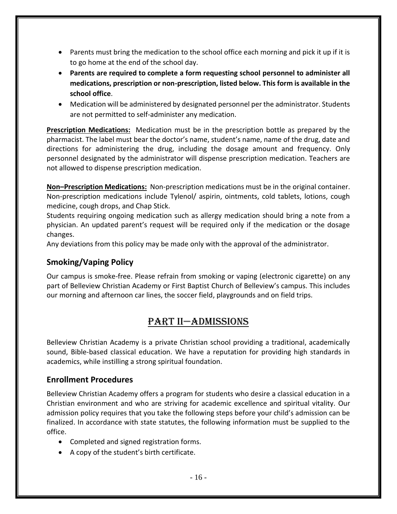- Parents must bring the medication to the school office each morning and pick it up if it is to go home at the end of the school day.
- **Parents are required to complete a form requesting school personnel to administer all medications, prescription or non-prescription, listed below. This form is available in the school office**.
- Medication will be administered by designated personnel per the administrator. Students are not permitted to self-administer any medication.

**Prescription Medications:** Medication must be in the prescription bottle as prepared by the pharmacist. The label must bear the doctor's name, student's name, name of the drug, date and directions for administering the drug, including the dosage amount and frequency. Only personnel designated by the administrator will dispense prescription medication. Teachers are not allowed to dispense prescription medication.

**Non–Prescription Medications:** Non-prescription medications must be in the original container. Non-prescription medications include Tylenol/ aspirin, ointments, cold tablets, lotions, cough medicine, cough drops, and Chap Stick.

Students requiring ongoing medication such as allergy medication should bring a note from a physician. An updated parent's request will be required only if the medication or the dosage changes.

Any deviations from this policy may be made only with the approval of the administrator.

#### **Smoking/Vaping Policy**

Our campus is smoke-free. Please refrain from smoking or vaping (electronic cigarette) on any part of Belleview Christian Academy or First Baptist Church of Belleview's campus. This includes our morning and afternoon car lines, the soccer field, playgrounds and on field trips.

## Part II—ADMISSIONS

Belleview Christian Academy is a private Christian school providing a traditional, academically sound, Bible-based classical education. We have a reputation for providing high standards in academics, while instilling a strong spiritual foundation.

#### **Enrollment Procedures**

Belleview Christian Academy offers a program for students who desire a classical education in a Christian environment and who are striving for academic excellence and spiritual vitality. Our admission policy requires that you take the following steps before your child's admission can be finalized. In accordance with state statutes, the following information must be supplied to the office.

- Completed and signed registration forms.
- A copy of the student's birth certificate.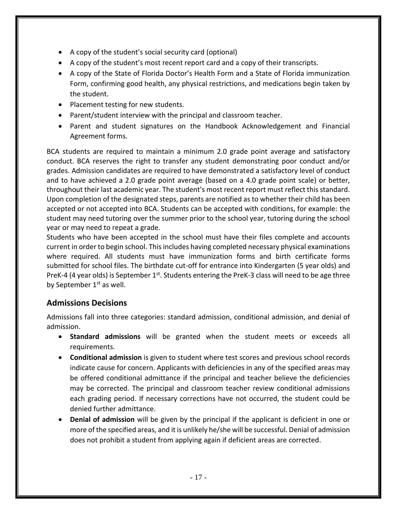- A copy of the student's social security card (optional)
- A copy of the student's most recent report card and a copy of their transcripts.
- A copy of the State of Florida Doctor's Health Form and a State of Florida immunization Form, confirming good health, any physical restrictions, and medications begin taken by the student.
- Placement testing for new students.
- Parent/student interview with the principal and classroom teacher.
- Parent and student signatures on the Handbook Acknowledgement and Financial Agreement forms.

BCA students are required to maintain a minimum 2.0 grade point average and satisfactory conduct. BCA reserves the right to transfer any student demonstrating poor conduct and/or grades. Admission candidates are required to have demonstrated a satisfactory level of conduct and to have achieved a 2.0 grade point average (based on a 4.0 grade point scale) or better, throughout their last academic year. The student's most recent report must reflect this standard. Upon completion of the designated steps, parents are notified as to whether their child has been accepted or not accepted into BCA. Students can be accepted with conditions, for example: the student may need tutoring over the summer prior to the school year, tutoring during the school year or may need to repeat a grade.

Students who have been accepted in the school must have their files complete and accounts current in order to begin school. This includes having completed necessary physical examinations where required. All students must have immunization forms and birth certificate forms submitted for school files. The birthdate cut-off for entrance into Kindergarten (5 year olds) and PreK-4 (4 year olds) is September  $1<sup>st</sup>$ . Students entering the PreK-3 class will need to be age three by September 1<sup>st</sup> as well.

#### **Admissions Decisions**

Admissions fall into three categories: standard admission, conditional admission, and denial of admission.

- **Standard admissions** will be granted when the student meets or exceeds all requirements.
- **Conditional admission** is given to student where test scores and previous school records indicate cause for concern. Applicants with deficiencies in any of the specified areas may be offered conditional admittance if the principal and teacher believe the deficiencies may be corrected. The principal and classroom teacher review conditional admissions each grading period. If necessary corrections have not occurred, the student could be denied further admittance.
- **Denial of admission** will be given by the principal if the applicant is deficient in one or more of the specified areas, and it is unlikely he/she will be successful. Denial of admission does not prohibit a student from applying again if deficient areas are corrected.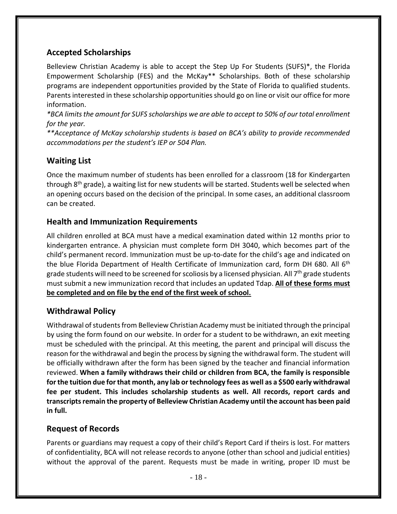#### **Accepted Scholarships**

Belleview Christian Academy is able to accept the Step Up For Students (SUFS)\*, the Florida Empowerment Scholarship (FES) and the McKay\*\* Scholarships. Both of these scholarship programs are independent opportunities provided by the State of Florida to qualified students. Parents interested in these scholarship opportunities should go on line or visit our office for more information.

*\*BCA limits the amount for SUFS scholarships we are able to accept to 50% of our total enrollment for the year.* 

*\*\*Acceptance of McKay scholarship students is based on BCA's ability to provide recommended accommodations per the student's IEP or 504 Plan.*

#### **Waiting List**

Once the maximum number of students has been enrolled for a classroom (18 for Kindergarten through  $8<sup>th</sup>$  grade), a waiting list for new students will be started. Students well be selected when an opening occurs based on the decision of the principal. In some cases, an additional classroom can be created.

#### **Health and Immunization Requirements**

All children enrolled at BCA must have a medical examination dated within 12 months prior to kindergarten entrance. A physician must complete form DH 3040, which becomes part of the child's permanent record. Immunization must be up-to-date for the child's age and indicated on the blue Florida Department of Health Certificate of Immunization card, form DH 680. All 6<sup>th</sup> grade students will need to be screened for scoliosis by a licensed physician. All 7<sup>th</sup> grade students must submit a new immunization record that includes an updated Tdap. **All of these forms must be completed and on file by the end of the first week of school.**

#### **Withdrawal Policy**

Withdrawal of students from Belleview Christian Academy must be initiated through the principal by using the form found on our website. In order for a student to be withdrawn, an exit meeting must be scheduled with the principal. At this meeting, the parent and principal will discuss the reason for the withdrawal and begin the process by signing the withdrawal form. The student will be officially withdrawn after the form has been signed by the teacher and financial information reviewed. **When a family withdraws their child or children from BCA, the family is responsible for the tuition due for that month, any lab or technology fees as well as a \$500 early withdrawal fee per student. This includes scholarship students as well. All records, report cards and transcripts remain the property of Belleview Christian Academy until the account has been paid in full.**

#### **Request of Records**

Parents or guardians may request a copy of their child's Report Card if theirs is lost. For matters of confidentiality, BCA will not release records to anyone (other than school and judicial entities) without the approval of the parent. Requests must be made in writing, proper ID must be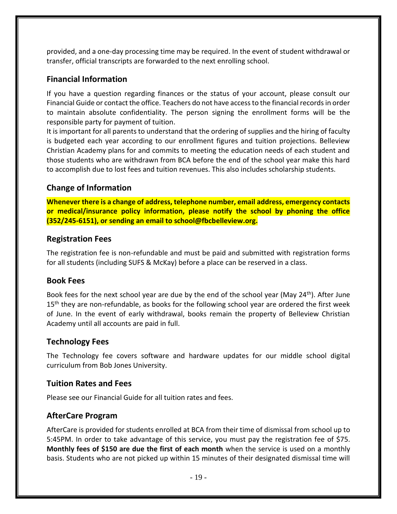provided, and a one-day processing time may be required. In the event of student withdrawal or transfer, official transcripts are forwarded to the next enrolling school.

#### **Financial Information**

If you have a question regarding finances or the status of your account, please consult our Financial Guide or contact the office. Teachers do not have access to the financial records in order to maintain absolute confidentiality. The person signing the enrollment forms will be the responsible party for payment of tuition.

It is important for all parents to understand that the ordering of supplies and the hiring of faculty is budgeted each year according to our enrollment figures and tuition projections. Belleview Christian Academy plans for and commits to meeting the education needs of each student and those students who are withdrawn from BCA before the end of the school year make this hard to accomplish due to lost fees and tuition revenues. This also includes scholarship students.

#### **Change of Information**

**Whenever there is a change of address, telephone number, email address, emergency contacts or medical/insurance policy information, please notify the school by phoning the office (352/245-6151), or sending an email to school@fbcbelleview.org.**

#### **Registration Fees**

The registration fee is non-refundable and must be paid and submitted with registration forms for all students (including SUFS & McKay) before a place can be reserved in a class.

#### **Book Fees**

Book fees for the next school year are due by the end of the school year (May 24<sup>th</sup>). After June  $15<sup>th</sup>$  they are non-refundable, as books for the following school year are ordered the first week of June. In the event of early withdrawal, books remain the property of Belleview Christian Academy until all accounts are paid in full.

#### **Technology Fees**

The Technology fee covers software and hardware updates for our middle school digital curriculum from Bob Jones University.

#### **Tuition Rates and Fees**

Please see our Financial Guide for all tuition rates and fees.

#### **AfterCare Program**

AfterCare is provided for students enrolled at BCA from their time of dismissal from school up to 5:45PM. In order to take advantage of this service, you must pay the registration fee of \$75. **Monthly fees of \$150 are due the first of each month** when the service is used on a monthly basis. Students who are not picked up within 15 minutes of their designated dismissal time will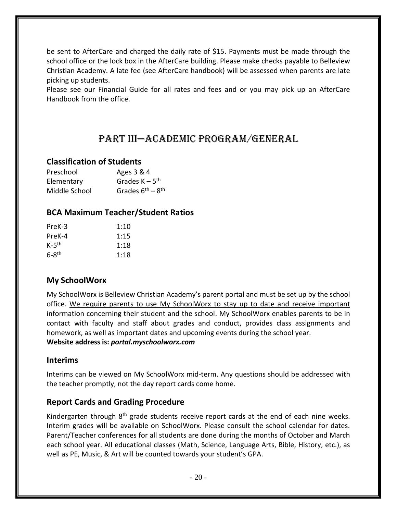be sent to AfterCare and charged the daily rate of \$15. Payments must be made through the school office or the lock box in the AfterCare building. Please make checks payable to Belleview Christian Academy. A late fee (see AfterCare handbook) will be assessed when parents are late picking up students.

Please see our Financial Guide for all rates and fees and or you may pick up an AfterCare Handbook from the office.

## Part III—ACADEMIC PROGRAM/General

#### **Classification of Students**

| Preschool     | Ages 3 & 4                   |
|---------------|------------------------------|
| Elementary    | Grades $K - 5$ <sup>th</sup> |
| Middle School | Grades $6^{th} - 8^{th}$     |

#### **BCA Maximum Teacher/Student Ratios**

| PreK-3              | 1:10 |
|---------------------|------|
| PreK-4              | 1:15 |
| $K-5$ <sup>th</sup> | 1:18 |
| $6-8$ <sup>th</sup> | 1:18 |

#### **My SchoolWorx**

My SchoolWorx is Belleview Christian Academy's parent portal and must be set up by the school office. We require parents to use My SchoolWorx to stay up to date and receive important information concerning their student and the school. My SchoolWorx enables parents to be in contact with faculty and staff about grades and conduct, provides class assignments and homework, as well as important dates and upcoming events during the school year. **Website address is:** *portal.myschoolworx.com*

#### **Interims**

Interims can be viewed on My SchoolWorx mid-term. Any questions should be addressed with the teacher promptly, not the day report cards come home.

#### **Report Cards and Grading Procedure**

Kindergarten through  $8<sup>th</sup>$  grade students receive report cards at the end of each nine weeks. Interim grades will be available on SchoolWorx. Please consult the school calendar for dates. Parent/Teacher conferences for all students are done during the months of October and March each school year. All educational classes (Math, Science, Language Arts, Bible, History, etc.), as well as PE, Music, & Art will be counted towards your student's GPA.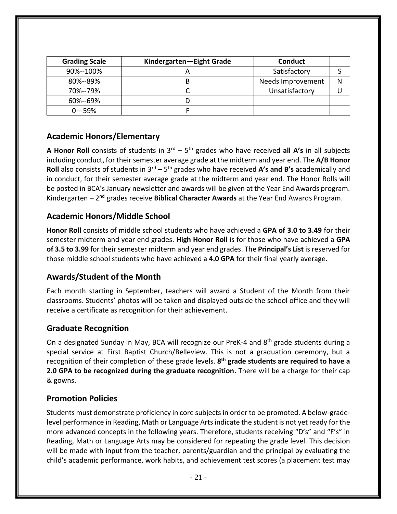| <b>Grading Scale</b> | Kindergarten-Eight Grade | <b>Conduct</b>    |   |
|----------------------|--------------------------|-------------------|---|
| 90%--100%            |                          | Satisfactory      |   |
| 80%--89%             |                          | Needs Improvement | N |
| 70%--79%             |                          | Unsatisfactory    |   |
| 60%--69%             |                          |                   |   |
| $0 - 59%$            |                          |                   |   |

#### **Academic Honors/Elementary**

A Honor Roll consists of students in 3<sup>rd</sup> – 5<sup>th</sup> grades who have received all A's in all subjects including conduct, for their semester average grade at the midterm and year end. The **A/B Honor Roll** also consists of students in 3<sup>rd</sup> – 5<sup>th</sup> grades who have received **A's and B's** academically and in conduct, for their semester average grade at the midterm and year end. The Honor Rolls will be posted in BCA's January newsletter and awards will be given at the Year End Awards program. Kindergarten – 2<sup>nd</sup> grades receive **Biblical Character Awards** at the Year End Awards Program.

#### **Academic Honors/Middle School**

**Honor Roll** consists of middle school students who have achieved a **GPA of 3.0 to 3.49** for their semester midterm and year end grades. **High Honor Roll** is for those who have achieved a **GPA of 3.5 to 3.99** for their semester midterm and year end grades. The **Principal's List** is reserved for those middle school students who have achieved a **4.0 GPA** for their final yearly average.

#### **Awards/Student of the Month**

Each month starting in September, teachers will award a Student of the Month from their classrooms. Students' photos will be taken and displayed outside the school office and they will receive a certificate as recognition for their achievement.

#### **Graduate Recognition**

On a designated Sunday in May, BCA will recognize our PreK-4 and 8<sup>th</sup> grade students during a special service at First Baptist Church/Belleview. This is not a graduation ceremony, but a recognition of their completion of these grade levels. **8 th grade students are required to have a 2.0 GPA to be recognized during the graduate recognition.** There will be a charge for their cap & gowns.

#### **Promotion Policies**

Students must demonstrate proficiency in core subjects in order to be promoted. A below-gradelevel performance in Reading, Math or Language Arts indicate the student is not yet ready for the more advanced concepts in the following years. Therefore, students receiving "D's" and "F's" in Reading, Math or Language Arts may be considered for repeating the grade level. This decision will be made with input from the teacher, parents/guardian and the principal by evaluating the child's academic performance, work habits, and achievement test scores (a placement test may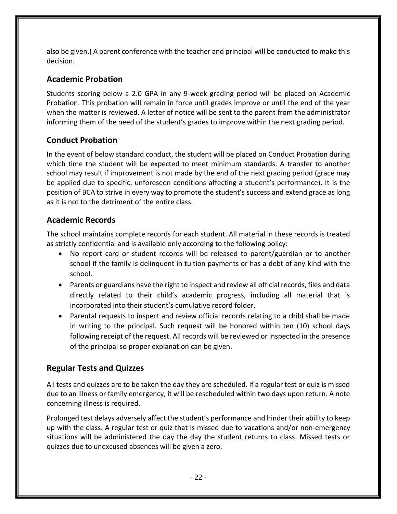also be given.) A parent conference with the teacher and principal will be conducted to make this decision.

#### **Academic Probation**

Students scoring below a 2.0 GPA in any 9-week grading period will be placed on Academic Probation. This probation will remain in force until grades improve or until the end of the year when the matter is reviewed. A letter of notice will be sent to the parent from the administrator informing them of the need of the student's grades to improve within the next grading period.

#### **Conduct Probation**

In the event of below standard conduct, the student will be placed on Conduct Probation during which time the student will be expected to meet minimum standards. A transfer to another school may result if improvement is not made by the end of the next grading period (grace may be applied due to specific, unforeseen conditions affecting a student's performance). It is the position of BCA to strive in every way to promote the student's success and extend grace as long as it is not to the detriment of the entire class.

#### **Academic Records**

The school maintains complete records for each student. All material in these records is treated as strictly confidential and is available only according to the following policy:

- No report card or student records will be released to parent/guardian or to another school if the family is delinquent in tuition payments or has a debt of any kind with the school.
- Parents or guardians have the right to inspect and review all official records, files and data directly related to their child's academic progress, including all material that is incorporated into their student's cumulative record folder.
- Parental requests to inspect and review official records relating to a child shall be made in writing to the principal. Such request will be honored within ten (10) school days following receipt of the request. All records will be reviewed or inspected in the presence of the principal so proper explanation can be given.

#### **Regular Tests and Quizzes**

All tests and quizzes are to be taken the day they are scheduled. If a regular test or quiz is missed due to an illness or family emergency, it will be rescheduled within two days upon return. A note concerning illness is required.

Prolonged test delays adversely affect the student's performance and hinder their ability to keep up with the class. A regular test or quiz that is missed due to vacations and/or non-emergency situations will be administered the day the day the student returns to class. Missed tests or quizzes due to unexcused absences will be given a zero.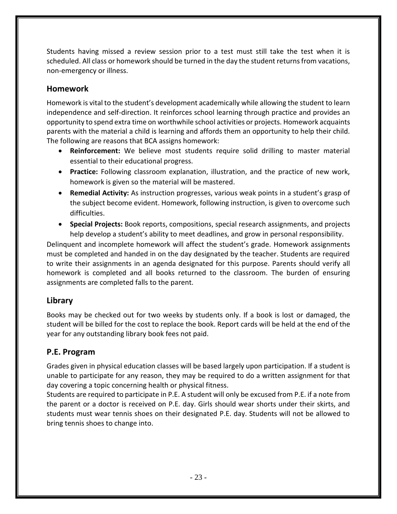Students having missed a review session prior to a test must still take the test when it is scheduled. All class or homework should be turned in the day the student returns from vacations, non-emergency or illness.

#### **Homework**

Homework is vital to the student's development academically while allowing the student to learn independence and self-direction. It reinforces school learning through practice and provides an opportunity to spend extra time on worthwhile school activities or projects. Homework acquaints parents with the material a child is learning and affords them an opportunity to help their child. The following are reasons that BCA assigns homework:

- **Reinforcement:** We believe most students require solid drilling to master material essential to their educational progress.
- **Practice:** Following classroom explanation, illustration, and the practice of new work, homework is given so the material will be mastered.
- **Remedial Activity:** As instruction progresses, various weak points in a student's grasp of the subject become evident. Homework, following instruction, is given to overcome such difficulties.
- **Special Projects:** Book reports, compositions, special research assignments, and projects help develop a student's ability to meet deadlines, and grow in personal responsibility.

Delinquent and incomplete homework will affect the student's grade. Homework assignments must be completed and handed in on the day designated by the teacher. Students are required to write their assignments in an agenda designated for this purpose. Parents should verify all homework is completed and all books returned to the classroom. The burden of ensuring assignments are completed falls to the parent.

#### **Library**

Books may be checked out for two weeks by students only. If a book is lost or damaged, the student will be billed for the cost to replace the book. Report cards will be held at the end of the year for any outstanding library book fees not paid.

#### **P.E. Program**

Grades given in physical education classes will be based largely upon participation. If a student is unable to participate for any reason, they may be required to do a written assignment for that day covering a topic concerning health or physical fitness.

Students are required to participate in P.E. A student will only be excused from P.E. if a note from the parent or a doctor is received on P.E. day. Girls should wear shorts under their skirts, and students must wear tennis shoes on their designated P.E. day. Students will not be allowed to bring tennis shoes to change into.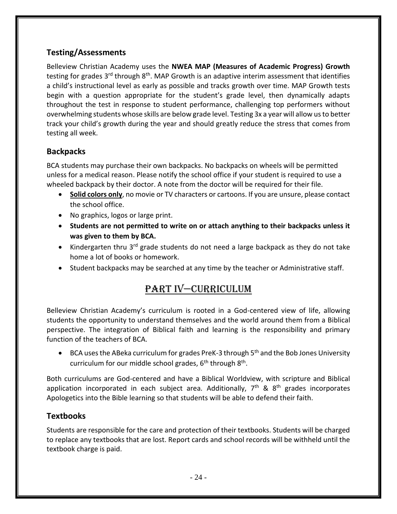### **Testing/Assessments**

Belleview Christian Academy uses the **NWEA MAP (Measures of Academic Progress) Growth** testing for grades 3<sup>rd</sup> through 8<sup>th</sup>. MAP Growth is an adaptive interim assessment that identifies a child's instructional level as early as possible and tracks growth over time. MAP Growth tests begin with a question appropriate for the student's grade level, then dynamically adapts throughout the test in response to student performance, challenging top performers without overwhelming students whose skills are below grade level. Testing 3x a year will allow us to better track your child's growth during the year and should greatly reduce the stress that comes from testing all week.

### **Backpacks**

BCA students may purchase their own backpacks. No backpacks on wheels will be permitted unless for a medical reason. Please notify the school office if your student is required to use a wheeled backpack by their doctor. A note from the doctor will be required for their file.

- **Solid colors only**, no movie or TV characters or cartoons. If you are unsure, please contact the school office.
- No graphics, logos or large print.
- **Students are not permitted to write on or attach anything to their backpacks unless it was given to them by BCA.**
- Kindergarten thru  $3^{rd}$  grade students do not need a large backpack as they do not take home a lot of books or homework.
- Student backpacks may be searched at any time by the teacher or Administrative staff.

## Part IV—CURRICULUM

Belleview Christian Academy's curriculum is rooted in a God-centered view of life, allowing students the opportunity to understand themselves and the world around them from a Biblical perspective. The integration of Biblical faith and learning is the responsibility and primary function of the teachers of BCA.

• BCA uses the ABeka curriculum for grades PreK-3 through 5<sup>th</sup> and the Bob Jones University curriculum for our middle school grades, 6<sup>th</sup> through 8<sup>th</sup>.

Both curriculums are God-centered and have a Biblical Worldview, with scripture and Biblical application incorporated in each subject area. Additionally, 7<sup>th</sup> & 8<sup>th</sup> grades incorporates Apologetics into the Bible learning so that students will be able to defend their faith.

#### **Textbooks**

Students are responsible for the care and protection of their textbooks. Students will be charged to replace any textbooks that are lost. Report cards and school records will be withheld until the textbook charge is paid.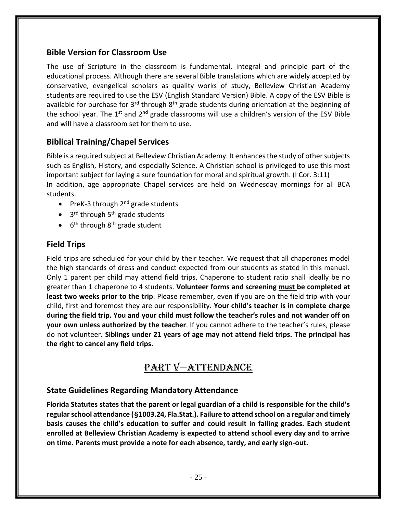#### **Bible Version for Classroom Use**

The use of Scripture in the classroom is fundamental, integral and principle part of the educational process. Although there are several Bible translations which are widely accepted by conservative, evangelical scholars as quality works of study, Belleview Christian Academy students are required to use the ESV (English Standard Version) Bible. A copy of the ESV Bible is available for purchase for  $3<sup>rd</sup>$  through  $8<sup>th</sup>$  grade students during orientation at the beginning of the school year. The  $1^{st}$  and  $2^{nd}$  grade classrooms will use a children's version of the ESV Bible and will have a classroom set for them to use.

#### **Biblical Training/Chapel Services**

Bible is a required subject at Belleview Christian Academy. It enhances the study of other subjects such as English, History, and especially Science. A Christian school is privileged to use this most important subject for laying a sure foundation for moral and spiritual growth. (I Cor. 3:11) In addition, age appropriate Chapel services are held on Wednesday mornings for all BCA students.

- PreK-3 through  $2^{nd}$  grade students
- 3<sup>rd</sup> through 5<sup>th</sup> grade students
- 6<sup>th</sup> through 8<sup>th</sup> grade student

#### **Field Trips**

Field trips are scheduled for your child by their teacher. We request that all chaperones model the high standards of dress and conduct expected from our students as stated in this manual. Only 1 parent per child may attend field trips. Chaperone to student ratio shall ideally be no greater than 1 chaperone to 4 students. **Volunteer forms and screening must be completed at least two weeks prior to the trip**. Please remember, even if you are on the field trip with your child, first and foremost they are our responsibility. **Your child's teacher is in complete charge during the field trip. You and your child must follow the teacher's rules and not wander off on your own unless authorized by the teacher**. If you cannot adhere to the teacher's rules, please do not volunteer**. Siblings under 21 years of age may not attend field trips. The principal has the right to cancel any field trips.**

## PART V—ATTENDANCE

#### **State Guidelines Regarding Mandatory Attendance**

**Florida Statutes states that the parent or legal guardian of a child is responsible for the child's regular school attendance (§1003.24, Fla.Stat.). Failure to attend school on a regular and timely basis causes the child's education to suffer and could result in failing grades. Each student enrolled at Belleview Christian Academy is expected to attend school every day and to arrive on time. Parents must provide a note for each absence, tardy, and early sign-out.**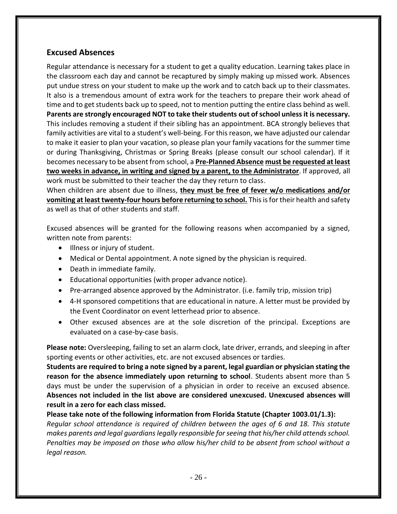#### **Excused Absences**

Regular attendance is necessary for a student to get a quality education. Learning takes place in the classroom each day and cannot be recaptured by simply making up missed work. Absences put undue stress on your student to make up the work and to catch back up to their classmates. It also is a tremendous amount of extra work for the teachers to prepare their work ahead of time and to get students back up to speed, not to mention putting the entire class behind as well. **Parents are strongly encouraged NOT to take their students out of school unless it is necessary.** This includes removing a student if their sibling has an appointment. BCA strongly believes that family activities are vital to a student's well-being. For this reason, we have adjusted our calendar to make it easier to plan your vacation, so please plan your family vacations for the summer time or during Thanksgiving, Christmas or Spring Breaks (please consult our school calendar). If it becomes necessary to be absent from school, a **Pre-Planned Absence must be requested at least two weeks in advance, in writing and signed by a parent, to the Administrator**. If approved, all work must be submitted to their teacher the day they return to class.

When children are absent due to illness, **they must be free of fever w/o medications and/or vomiting at least twenty-four hours before returning to school.** This is for their health and safety as well as that of other students and staff.

Excused absences will be granted for the following reasons when accompanied by a signed, written note from parents:

- Illness or injury of student.
- Medical or Dental appointment. A note signed by the physician is required.
- Death in immediate family.
- Educational opportunities (with proper advance notice).
- Pre-arranged absence approved by the Administrator. (i.e. family trip, mission trip)
- 4-H sponsored competitions that are educational in nature. A letter must be provided by the Event Coordinator on event letterhead prior to absence.
- Other excused absences are at the sole discretion of the principal. Exceptions are evaluated on a case-by-case basis.

**Please note:** Oversleeping, failing to set an alarm clock, late driver, errands, and sleeping in after sporting events or other activities, etc. are not excused absences or tardies.

**Students are required to bring a note signed by a parent, legal guardian or physician stating the reason for the absence immediately upon returning to school**. Students absent more than 5 days must be under the supervision of a physician in order to receive an excused absence. **Absences not included in the list above are considered unexcused. Unexcused absences will result in a zero for each class missed.**

**Please take note of the following information from Florida Statute (Chapter 1003.01/1.3):** *Regular school attendance is required of children between the ages of 6 and 18. This statute makes parents and legal guardians legally responsible for seeing that his/her child attends school. Penalties may be imposed on those who allow his/her child to be absent from school without a legal reason.*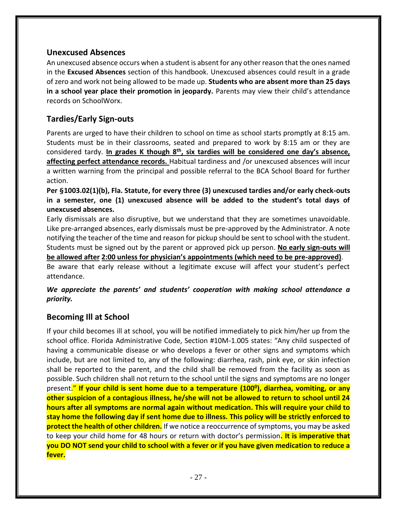#### **Unexcused Absences**

An unexcused absence occurs when a student is absent for any other reason that the ones named in the **Excused Absences** section of this handbook. Unexcused absences could result in a grade of zero and work not being allowed to be made up. **Students who are absent more than 25 days in a school year place their promotion in jeopardy.** Parents may view their child's attendance records on SchoolWorx.

#### **Tardies/Early Sign-outs**

Parents are urged to have their children to school on time as school starts promptly at 8:15 am. Students must be in their classrooms, seated and prepared to work by 8:15 am or they are considered tardy. **In grades K though 8th, six tardies will be considered one day's absence, affecting perfect attendance records.** Habitual tardiness and /or unexcused absences will incur a written warning from the principal and possible referral to the BCA School Board for further action.

**Per §1003.02(1)(b), Fla. Statute, for every three (3) unexcused tardies and/or early check-outs in a semester, one (1) unexcused absence will be added to the student's total days of unexcused absences.**

Early dismissals are also disruptive, but we understand that they are sometimes unavoidable. Like pre-arranged absences, early dismissals must be pre-approved by the Administrator. A note notifying the teacher of the time and reason for pickup should be sent to school with the student. Students must be signed out by the parent or approved pick up person. **No early sign-outs will be allowed after 2:00 unless for physician's appointments (which need to be pre-approved)**.

Be aware that early release without a legitimate excuse will affect your student's perfect attendance.

#### *We appreciate the parents' and students' cooperation with making school attendance a priority.*

#### **Becoming Ill at School**

If your child becomes ill at school, you will be notified immediately to pick him/her up from the school office. Florida Administrative Code, Section #10M-1.005 states: "Any child suspected of having a communicable disease or who develops a fever or other signs and symptoms which include, but are not limited to, any of the following: diarrhea, rash, pink eye, or skin infection shall be reported to the parent, and the child shall be removed from the facility as soon as possible. Such children shall not return to the school until the signs and symptoms are no longer present." **If your child is sent home due to a temperature (100<sup>0</sup> ), diarrhea, vomiting, or any other suspicion of a contagious illness, he/she will not be allowed to return to school until 24 hours after all symptoms are normal again without medication. This will require your child to stay home the following day if sent home due to illness. This policy will be strictly enforced to protect the health of other children.** If we notice a reoccurrence of symptoms, you may be asked to keep your child home for 48 hours or return with doctor's permission**. It is imperative that you DO NOT send your child to school with a fever or if you have given medication to reduce a fever.**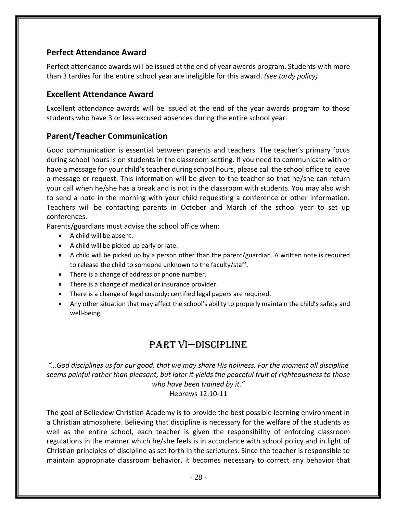#### **Perfect Attendance Award**

Perfect attendance awards will be issued at the end of year awards program. Students with more than 3 tardies for the entire school year are ineligible for this award. *(see tardy policy)*

#### **Excellent Attendance Award**

Excellent attendance awards will be issued at the end of the year awards program to those students who have 3 or less excused absences during the entire school year.

#### **Parent/Teacher Communication**

Good communication is essential between parents and teachers. The teacher's primary focus during school hours is on students in the classroom setting. If you need to communicate with or have a message for your child's teacher during school hours, please call the school office to leave a message or request. This information will be given to the teacher so that he/she can return your call when he/she has a break and is not in the classroom with students. You may also wish to send a note in the morning with your child requesting a conference or other information. Teachers will be contacting parents in October and March of the school year to set up conferences.

Parents/guardians must advise the school office when:

- A child will be absent.
- A child will be picked up early or late.
- A child will be picked up by a person other than the parent/guardian. A written note is required to release the child to someone unknown to the faculty/staff.
- There is a change of address or phone number.
- There is a change of medical or insurance provider.
- There is a change of legal custody; certified legal papers are required.
- Any other situation that may affect the school's ability to properly maintain the child's safety and well-being.

## Part vi—Discipline

*"…God disciplines us for our good, that we may share His holiness. For the moment all discipline seems painful rather than pleasant, but later it yields the peaceful fruit of righteousness to those who have been trained by it."* Hebrews 12:10-11

The goal of Belleview Christian Academy is to provide the best possible learning environment in a Christian atmosphere. Believing that discipline is necessary for the welfare of the students as well as the entire school, each teacher is given the responsibility of enforcing classroom regulations in the manner which he/she feels is in accordance with school policy and in light of Christian principles of discipline as set forth in the scriptures. Since the teacher is responsible to maintain appropriate classroom behavior, it becomes necessary to correct any behavior that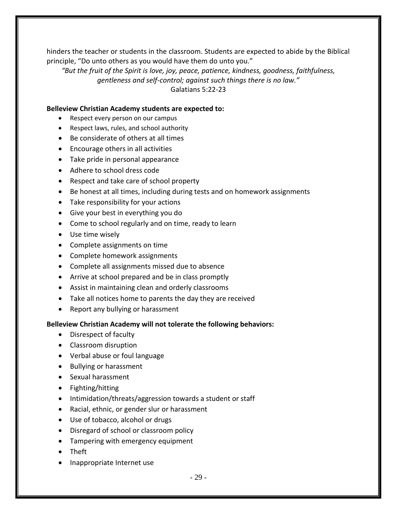hinders the teacher or students in the classroom. Students are expected to abide by the Biblical principle, "Do unto others as you would have them do unto you."

*"But the fruit of the Spirit is love, joy, peace, patience, kindness, goodness, faithfulness, gentleness and self-control; against such things there is no law."* Galatians 5:22-23

#### **Belleview Christian Academy students are expected to:**

- Respect every person on our campus
- Respect laws, rules, and school authority
- Be considerate of others at all times
- Encourage others in all activities
- Take pride in personal appearance
- Adhere to school dress code
- Respect and take care of school property
- Be honest at all times, including during tests and on homework assignments
- Take responsibility for your actions
- Give your best in everything you do
- Come to school regularly and on time, ready to learn
- Use time wisely
- Complete assignments on time
- Complete homework assignments
- Complete all assignments missed due to absence
- Arrive at school prepared and be in class promptly
- Assist in maintaining clean and orderly classrooms
- Take all notices home to parents the day they are received
- Report any bullying or harassment

#### **Belleview Christian Academy will not tolerate the following behaviors:**

- Disrespect of faculty
- Classroom disruption
- Verbal abuse or foul language
- Bullying or harassment
- Sexual harassment
- Fighting/hitting
- Intimidation/threats/aggression towards a student or staff
- Racial, ethnic, or gender slur or harassment
- Use of tobacco, alcohol or drugs
- Disregard of school or classroom policy
- Tampering with emergency equipment
- Theft
- Inappropriate Internet use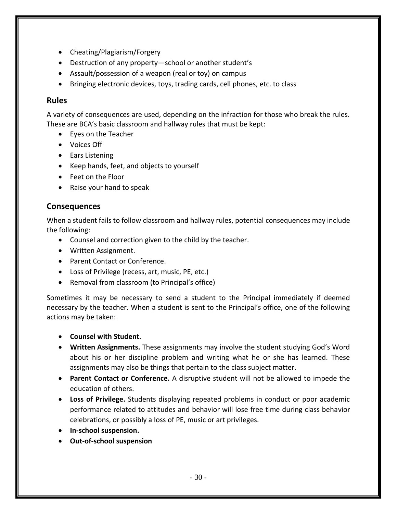- Cheating/Plagiarism/Forgery
- Destruction of any property—school or another student's
- Assault/possession of a weapon (real or toy) on campus
- Bringing electronic devices, toys, trading cards, cell phones, etc. to class

#### **Rules**

A variety of consequences are used, depending on the infraction for those who break the rules. These are BCA's basic classroom and hallway rules that must be kept:

- Eyes on the Teacher
- Voices Off
- Ears Listening
- Keep hands, feet, and objects to yourself
- Feet on the Floor
- Raise your hand to speak

#### **Consequences**

When a student fails to follow classroom and hallway rules, potential consequences may include the following:

- Counsel and correction given to the child by the teacher.
- Written Assignment.
- Parent Contact or Conference.
- Loss of Privilege (recess, art, music, PE, etc.)
- Removal from classroom (to Principal's office)

Sometimes it may be necessary to send a student to the Principal immediately if deemed necessary by the teacher. When a student is sent to the Principal's office, one of the following actions may be taken:

- **Counsel with Student.**
- **Written Assignments.** These assignments may involve the student studying God's Word about his or her discipline problem and writing what he or she has learned. These assignments may also be things that pertain to the class subject matter.
- **Parent Contact or Conference.** A disruptive student will not be allowed to impede the education of others.
- **Loss of Privilege.** Students displaying repeated problems in conduct or poor academic performance related to attitudes and behavior will lose free time during class behavior celebrations, or possibly a loss of PE, music or art privileges.
- **In-school suspension.**
- **Out-of-school suspension**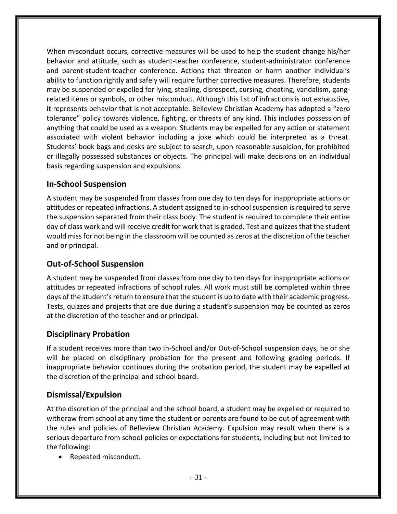When misconduct occurs, corrective measures will be used to help the student change his/her behavior and attitude, such as student-teacher conference, student-administrator conference and parent-student-teacher conference. Actions that threaten or harm another individual's ability to function rightly and safely will require further corrective measures. Therefore, students may be suspended or expelled for lying, stealing, disrespect, cursing, cheating, vandalism, gangrelated items or symbols, or other misconduct. Although this list of infractions is not exhaustive, it represents behavior that is not acceptable. Belleview Christian Academy has adopted a "zero tolerance" policy towards violence, fighting, or threats of any kind. This includes possession of anything that could be used as a weapon. Students may be expelled for any action or statement associated with violent behavior including a joke which could be interpreted as a threat. Students' book bags and desks are subject to search, upon reasonable suspicion, for prohibited or illegally possessed substances or objects. The principal will make decisions on an individual basis regarding suspension and expulsions.

#### **In-School Suspension**

A student may be suspended from classes from one day to ten days for inappropriate actions or attitudes or repeated infractions. A student assigned to in-school suspension is required to serve the suspension separated from their class body. The student is required to complete their entire day of class work and will receive credit for work that is graded. Test and quizzes that the student would miss for not being in the classroom will be counted as zeros at the discretion of the teacher and or principal.

#### **Out-of-School Suspension**

A student may be suspended from classes from one day to ten days for inappropriate actions or attitudes or repeated infractions of school rules. All work must still be completed within three days of the student's return to ensure that the student is up to date with their academic progress. Tests, quizzes and projects that are due during a student's suspension may be counted as zeros at the discretion of the teacher and or principal.

#### **Disciplinary Probation**

If a student receives more than two In-School and/or Out-of-School suspension days, he or she will be placed on disciplinary probation for the present and following grading periods. If inappropriate behavior continues during the probation period, the student may be expelled at the discretion of the principal and school board.

#### **Dismissal/Expulsion**

At the discretion of the principal and the school board, a student may be expelled or required to withdraw from school at any time the student or parents are found to be out of agreement with the rules and policies of Belleview Christian Academy. Expulsion may result when there is a serious departure from school policies or expectations for students, including but not limited to the following:

• Repeated misconduct.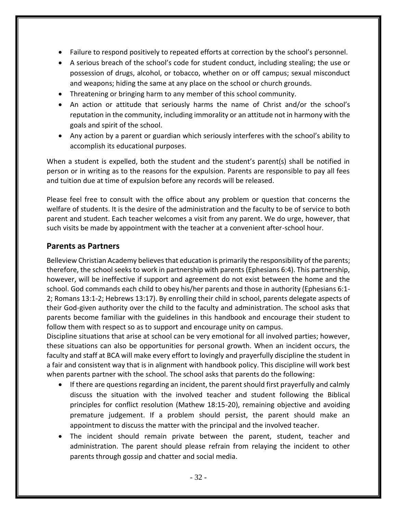- Failure to respond positively to repeated efforts at correction by the school's personnel.
- A serious breach of the school's code for student conduct, including stealing; the use or possession of drugs, alcohol, or tobacco, whether on or off campus; sexual misconduct and weapons; hiding the same at any place on the school or church grounds.
- Threatening or bringing harm to any member of this school community.
- An action or attitude that seriously harms the name of Christ and/or the school's reputation in the community, including immorality or an attitude not in harmony with the goals and spirit of the school.
- Any action by a parent or guardian which seriously interferes with the school's ability to accomplish its educational purposes.

When a student is expelled, both the student and the student's parent(s) shall be notified in person or in writing as to the reasons for the expulsion. Parents are responsible to pay all fees and tuition due at time of expulsion before any records will be released.

Please feel free to consult with the office about any problem or question that concerns the welfare of students. It is the desire of the administration and the faculty to be of service to both parent and student. Each teacher welcomes a visit from any parent. We do urge, however, that such visits be made by appointment with the teacher at a convenient after-school hour.

#### **Parents as Partners**

Belleview Christian Academy believes that education is primarily the responsibility of the parents; therefore, the school seeks to work in partnership with parents (Ephesians 6:4). This partnership, however, will be ineffective if support and agreement do not exist between the home and the school. God commands each child to obey his/her parents and those in authority (Ephesians 6:1- 2; Romans 13:1-2; Hebrews 13:17). By enrolling their child in school, parents delegate aspects of their God-given authority over the child to the faculty and administration. The school asks that parents become familiar with the guidelines in this handbook and encourage their student to follow them with respect so as to support and encourage unity on campus.

Discipline situations that arise at school can be very emotional for all involved parties; however, these situations can also be opportunities for personal growth. When an incident occurs, the faculty and staff at BCA will make every effort to lovingly and prayerfully discipline the student in a fair and consistent way that is in alignment with handbook policy. This discipline will work best when parents partner with the school. The school asks that parents do the following:

- If there are questions regarding an incident, the parent should first prayerfully and calmly discuss the situation with the involved teacher and student following the Biblical principles for conflict resolution (Mathew 18:15-20), remaining objective and avoiding premature judgement. If a problem should persist, the parent should make an appointment to discuss the matter with the principal and the involved teacher.
- The incident should remain private between the parent, student, teacher and administration. The parent should please refrain from relaying the incident to other parents through gossip and chatter and social media.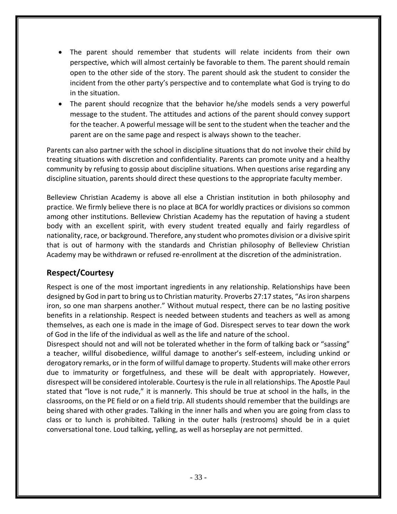- The parent should remember that students will relate incidents from their own perspective, which will almost certainly be favorable to them. The parent should remain open to the other side of the story. The parent should ask the student to consider the incident from the other party's perspective and to contemplate what God is trying to do in the situation.
- The parent should recognize that the behavior he/she models sends a very powerful message to the student. The attitudes and actions of the parent should convey support for the teacher. A powerful message will be sent to the student when the teacher and the parent are on the same page and respect is always shown to the teacher.

Parents can also partner with the school in discipline situations that do not involve their child by treating situations with discretion and confidentiality. Parents can promote unity and a healthy community by refusing to gossip about discipline situations. When questions arise regarding any discipline situation, parents should direct these questions to the appropriate faculty member.

Belleview Christian Academy is above all else a Christian institution in both philosophy and practice. We firmly believe there is no place at BCA for worldly practices or divisions so common among other institutions. Belleview Christian Academy has the reputation of having a student body with an excellent spirit, with every student treated equally and fairly regardless of nationality, race, or background. Therefore, any student who promotes division or a divisive spirit that is out of harmony with the standards and Christian philosophy of Belleview Christian Academy may be withdrawn or refused re-enrollment at the discretion of the administration.

#### **Respect/Courtesy**

Respect is one of the most important ingredients in any relationship. Relationships have been designed by God in part to bring us to Christian maturity. Proverbs 27:17 states, "As iron sharpens iron, so one man sharpens another." Without mutual respect, there can be no lasting positive benefits in a relationship. Respect is needed between students and teachers as well as among themselves, as each one is made in the image of God. Disrespect serves to tear down the work of God in the life of the individual as well as the life and nature of the school.

Disrespect should not and will not be tolerated whether in the form of talking back or "sassing" a teacher, willful disobedience, willful damage to another's self-esteem, including unkind or derogatory remarks, or in the form of willful damage to property. Students will make other errors due to immaturity or forgetfulness, and these will be dealt with appropriately. However, disrespect will be considered intolerable. Courtesy is the rule in all relationships. The Apostle Paul stated that "love is not rude," it is mannerly. This should be true at school in the halls, in the classrooms, on the PE field or on a field trip. All students should remember that the buildings are being shared with other grades. Talking in the inner halls and when you are going from class to class or to lunch is prohibited. Talking in the outer halls (restrooms) should be in a quiet conversational tone. Loud talking, yelling, as well as horseplay are not permitted.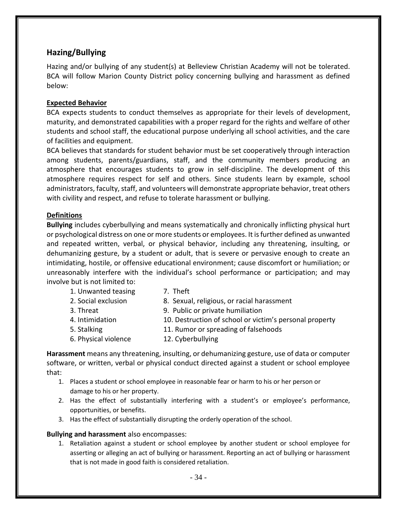#### **Hazing/Bullying**

Hazing and/or bullying of any student(s) at Belleview Christian Academy will not be tolerated. BCA will follow Marion County District policy concerning bullying and harassment as defined below:

#### **Expected Behavior**

BCA expects students to conduct themselves as appropriate for their levels of development, maturity, and demonstrated capabilities with a proper regard for the rights and welfare of other students and school staff, the educational purpose underlying all school activities, and the care of facilities and equipment.

BCA believes that standards for student behavior must be set cooperatively through interaction among students, parents/guardians, staff, and the community members producing an atmosphere that encourages students to grow in self-discipline. The development of this atmosphere requires respect for self and others. Since students learn by example, school administrators, faculty, staff, and volunteers will demonstrate appropriate behavior, treat others with civility and respect, and refuse to tolerate harassment or bullying.

#### **Definitions**

**Bullying** includes cyberbullying and means systematically and chronically inflicting physical hurt or psychological distress on one or more students or employees. It is further defined as unwanted and repeated written, verbal, or physical behavior, including any threatening, insulting, or dehumanizing gesture, by a student or adult, that is severe or pervasive enough to create an intimidating, hostile, or offensive educational environment; cause discomfort or humiliation; or unreasonably interfere with the individual's school performance or participation; and may involve but is not limited to:

- 1. Unwanted teasing T. Theft
- 2. Social exclusion 8. Sexual, religious, or racial harassment 3. Threat 9. Public or private humiliation 4. Intimidation 10. Destruction of school or victim's personal property 5. Stalking 11. Rumor or spreading of falsehoods 6. Physical violence 12. Cyberbullying

**Harassment** means any threatening, insulting, or dehumanizing gesture, use of data or computer software, or written, verbal or physical conduct directed against a student or school employee that:

- 1. Places a student or school employee in reasonable fear or harm to his or her person or damage to his or her property.
- 2. Has the effect of substantially interfering with a student's or employee's performance, opportunities, or benefits.
- 3. Has the effect of substantially disrupting the orderly operation of the school.

#### **Bullying and harassment** also encompasses:

1. Retaliation against a student or school employee by another student or school employee for asserting or alleging an act of bullying or harassment. Reporting an act of bullying or harassment that is not made in good faith is considered retaliation.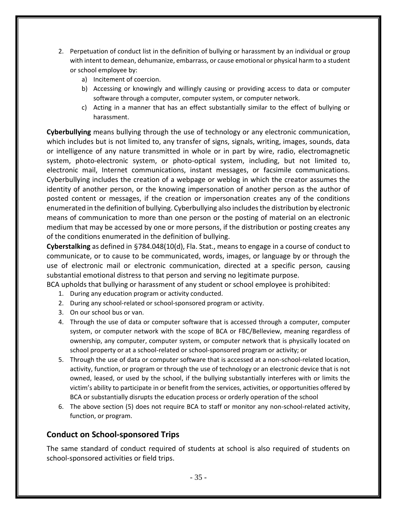- 2. Perpetuation of conduct list in the definition of bullying or harassment by an individual or group with intent to demean, dehumanize, embarrass, or cause emotional or physical harm to a student or school employee by:
	- a) Incitement of coercion.
	- b) Accessing or knowingly and willingly causing or providing access to data or computer software through a computer, computer system, or computer network.
	- c) Acting in a manner that has an effect substantially similar to the effect of bullying or harassment.

**Cyberbullying** means bullying through the use of technology or any electronic communication, which includes but is not limited to, any transfer of signs, signals, writing, images, sounds, data or intelligence of any nature transmitted in whole or in part by wire, radio, electromagnetic system, photo-electronic system, or photo-optical system, including, but not limited to, electronic mail, Internet communications, instant messages, or facsimile communications. Cyberbullying includes the creation of a webpage or weblog in which the creator assumes the identity of another person, or the knowing impersonation of another person as the author of posted content or messages, if the creation or impersonation creates any of the conditions enumerated in the definition of bullying. Cyberbullying also includes the distribution by electronic means of communication to more than one person or the posting of material on an electronic medium that may be accessed by one or more persons, if the distribution or posting creates any of the conditions enumerated in the definition of bullying.

**Cyberstalking** as defined in §784.048(10(d), Fla. Stat., means to engage in a course of conduct to communicate, or to cause to be communicated, words, images, or language by or through the use of electronic mail or electronic communication, directed at a specific person, causing substantial emotional distress to that person and serving no legitimate purpose.

BCA upholds that bullying or harassment of any student or school employee is prohibited:

- 1. During any education program or activity conducted.
- 2. During any school-related or school-sponsored program or activity.
- 3. On our school bus or van.
- 4. Through the use of data or computer software that is accessed through a computer, computer system, or computer network with the scope of BCA or FBC/Belleview, meaning regardless of ownership, any computer, computer system, or computer network that is physically located on school property or at a school-related or school-sponsored program or activity; or
- 5. Through the use of data or computer software that is accessed at a non-school-related location, activity, function, or program or through the use of technology or an electronic device that is not owned, leased, or used by the school, if the bullying substantially interferes with or limits the victim's ability to participate in or benefit from the services, activities, or opportunities offered by BCA or substantially disrupts the education process or orderly operation of the school
- 6. The above section (5) does not require BCA to staff or monitor any non-school-related activity, function, or program.

#### **Conduct on School-sponsored Trips**

The same standard of conduct required of students at school is also required of students on school-sponsored activities or field trips.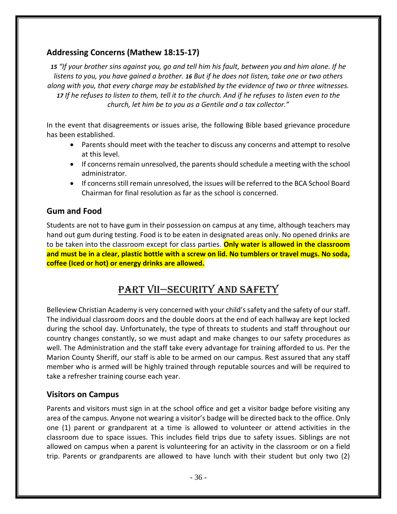#### **Addressing Concerns (Mathew 18:15-17)**

*15 "If your brother sins against you, go and tell him his fault, between you and him alone. If he listens to you, you have gained a brother. 16 But if he does not listen, take one or two others along with you, that every charge may be established by the evidence of two or three witnesses. 17 If he refuses to listen to them, tell it to the church. And if he refuses to listen even to the church, let him be to you as a Gentile and a tax collector."*

In the event that disagreements or issues arise, the following Bible based grievance procedure has been established.

- Parents should meet with the teacher to discuss any concerns and attempt to resolve at this level.
- If concerns remain unresolved, the parents should schedule a meeting with the school administrator.
- If concerns still remain unresolved, the issues will be referred to the BCA School Board Chairman for final resolution as far as the school is concerned.

#### **Gum and Food**

Students are not to have gum in their possession on campus at any time, although teachers may hand out gum during testing. Food is to be eaten in designated areas only. No opened drinks are to be taken into the classroom except for class parties. **Only water is allowed in the classroom and must be in a clear, plastic bottle with a screw on lid. No tumblers or travel mugs. No soda, coffee (Iced or hot) or energy drinks are allowed.**

# Part vii—Security and safety

Belleview Christian Academy is very concerned with your child's safety and the safety of our staff. The individual classroom doors and the double doors at the end of each hallway are kept locked during the school day. Unfortunately, the type of threats to students and staff throughout our country changes constantly, so we must adapt and make changes to our safety procedures as well. The Administration and the staff take every advantage for training afforded to us. Per the Marion County Sheriff, our staff is able to be armed on our campus. Rest assured that any staff member who is armed will be highly trained through reputable sources and will be required to take a refresher training course each year.

#### **Visitors on Campus**

Parents and visitors must sign in at the school office and get a visitor badge before visiting any area of the campus. Anyone not wearing a visitor's badge will be directed back to the office. Only one (1) parent or grandparent at a time is allowed to volunteer or attend activities in the classroom due to space issues. This includes field trips due to safety issues. Siblings are not allowed on campus when a parent is volunteering for an activity in the classroom or on a field trip. Parents or grandparents are allowed to have lunch with their student but only two (2)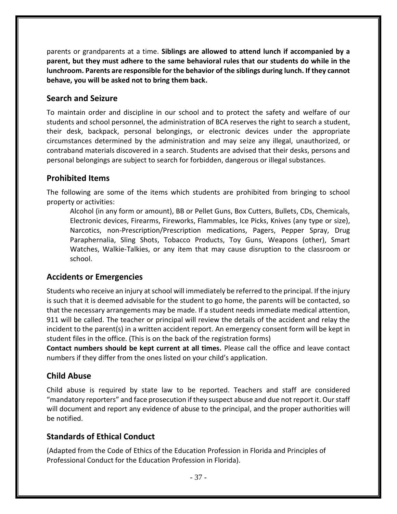parents or grandparents at a time. **Siblings are allowed to attend lunch if accompanied by a parent, but they must adhere to the same behavioral rules that our students do while in the lunchroom. Parents are responsible for the behavior of the siblings during lunch. If they cannot behave, you will be asked not to bring them back.**

#### **Search and Seizure**

To maintain order and discipline in our school and to protect the safety and welfare of our students and school personnel, the administration of BCA reserves the right to search a student, their desk, backpack, personal belongings, or electronic devices under the appropriate circumstances determined by the administration and may seize any illegal, unauthorized, or contraband materials discovered in a search. Students are advised that their desks, persons and personal belongings are subject to search for forbidden, dangerous or illegal substances.

#### **Prohibited Items**

The following are some of the items which students are prohibited from bringing to school property or activities:

Alcohol (in any form or amount), BB or Pellet Guns, Box Cutters, Bullets, CDs, Chemicals, Electronic devices, Firearms, Fireworks, Flammables, Ice Picks, Knives (any type or size), Narcotics, non-Prescription/Prescription medications, Pagers, Pepper Spray, Drug Paraphernalia, Sling Shots, Tobacco Products, Toy Guns, Weapons (other), Smart Watches, Walkie-Talkies, or any item that may cause disruption to the classroom or school.

#### **Accidents or Emergencies**

Students who receive an injury at school will immediately be referred to the principal. If the injury is such that it is deemed advisable for the student to go home, the parents will be contacted, so that the necessary arrangements may be made. If a student needs immediate medical attention, 911 will be called. The teacher or principal will review the details of the accident and relay the incident to the parent(s) in a written accident report. An emergency consent form will be kept in student files in the office. (This is on the back of the registration forms)

**Contact numbers should be kept current at all times.** Please call the office and leave contact numbers if they differ from the ones listed on your child's application.

#### **Child Abuse**

Child abuse is required by state law to be reported. Teachers and staff are considered "mandatory reporters" and face prosecution if they suspect abuse and due not report it. Our staff will document and report any evidence of abuse to the principal, and the proper authorities will be notified.

#### **Standards of Ethical Conduct**

(Adapted from the Code of Ethics of the Education Profession in Florida and Principles of Professional Conduct for the Education Profession in Florida).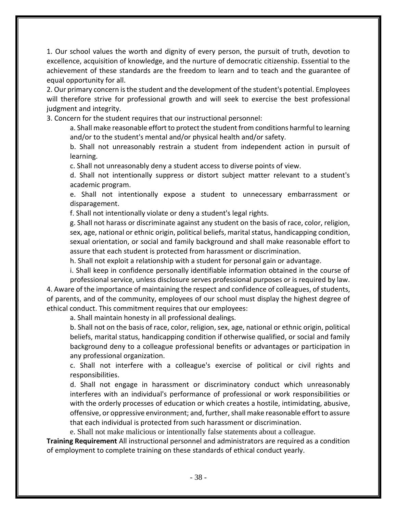1. Our school values the worth and dignity of every person, the pursuit of truth, devotion to excellence, acquisition of knowledge, and the nurture of democratic citizenship. Essential to the achievement of these standards are the freedom to learn and to teach and the guarantee of equal opportunity for all.

2. Our primary concern is the student and the development of the student's potential. Employees will therefore strive for professional growth and will seek to exercise the best professional judgment and integrity.

3. Concern for the student requires that our instructional personnel:

a. Shall make reasonable effort to protect the student from conditions harmful to learning and/or to the student's mental and/or physical health and/or safety.

b. Shall not unreasonably restrain a student from independent action in pursuit of learning.

c. Shall not unreasonably deny a student access to diverse points of view.

d. Shall not intentionally suppress or distort subject matter relevant to a student's academic program.

e. Shall not intentionally expose a student to unnecessary embarrassment or disparagement.

f. Shall not intentionally violate or deny a student's legal rights.

g. Shall not harass or discriminate against any student on the basis of race, color, religion, sex, age, national or ethnic origin, political beliefs, marital status, handicapping condition, sexual orientation, or social and family background and shall make reasonable effort to assure that each student is protected from harassment or discrimination.

h. Shall not exploit a relationship with a student for personal gain or advantage.

i. Shall keep in confidence personally identifiable information obtained in the course of professional service, unless disclosure serves professional purposes or is required by law. 4. Aware of the importance of maintaining the respect and confidence of colleagues, of students,

of parents, and of the community, employees of our school must display the highest degree of ethical conduct. This commitment requires that our employees:

a. Shall maintain honesty in all professional dealings.

b. Shall not on the basis of race, color, religion, sex, age, national or ethnic origin, political beliefs, marital status, handicapping condition if otherwise qualified, or social and family background deny to a colleague professional benefits or advantages or participation in any professional organization.

c. Shall not interfere with a colleague's exercise of political or civil rights and responsibilities.

d. Shall not engage in harassment or discriminatory conduct which unreasonably interferes with an individual's performance of professional or work responsibilities or with the orderly processes of education or which creates a hostile, intimidating, abusive, offensive, or oppressive environment; and, further, shall make reasonable effort to assure that each individual is protected from such harassment or discrimination.

e. Shall not make malicious or intentionally false statements about a colleague.

**Training Requirement** All instructional personnel and administrators are required as a condition of employment to complete training on these standards of ethical conduct yearly.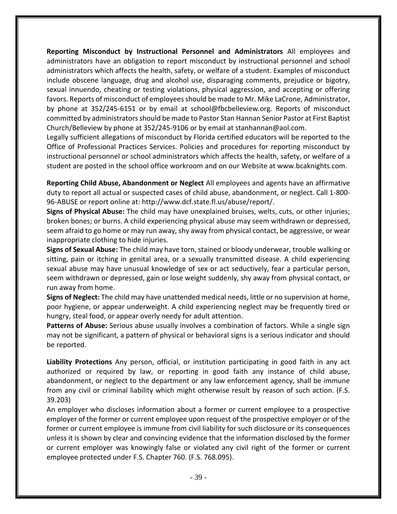**Reporting Misconduct by Instructional Personnel and Administrators** All employees and administrators have an obligation to report misconduct by instructional personnel and school administrators which affects the health, safety, or welfare of a student. Examples of misconduct include obscene language, drug and alcohol use, disparaging comments, prejudice or bigotry, sexual innuendo, cheating or testing violations, physical aggression, and accepting or offering favors. Reports of misconduct of employees should be made to Mr. Mike LaCrone, Administrator, by phone at 352/245-6151 or by email at school@fbcbelleview.org. Reports of misconduct committed by administrators should be made to Pastor Stan Hannan Senior Pastor at First Baptist Church/Belleview by phone at 352/245-9106 or by email at stanhannan@aol.com.

Legally sufficient allegations of misconduct by Florida certified educators will be reported to the Office of Professional Practices Services. Policies and procedures for reporting misconduct by instructional personnel or school administrators which affects the health, safety, or welfare of a student are posted in the school office workroom and on our Website at www.bcaknights.com.

**Reporting Child Abuse, Abandonment or Neglect** All employees and agents have an affirmative duty to report all actual or suspected cases of child abuse, abandonment, or neglect. Call 1-800- 96-ABUSE or report online at: http://www.dcf.state.fl.us/abuse/report/.

**Signs of Physical Abuse:** The child may have unexplained bruises, welts, cuts, or other injuries; broken bones; or burns. A child experiencing physical abuse may seem withdrawn or depressed, seem afraid to go home or may run away, shy away from physical contact, be aggressive, or wear inappropriate clothing to hide injuries.

**Signs of Sexual Abuse:** The child may have torn, stained or bloody underwear, trouble walking or sitting, pain or itching in genital area, or a sexually transmitted disease. A child experiencing sexual abuse may have unusual knowledge of sex or act seductively, fear a particular person, seem withdrawn or depressed, gain or lose weight suddenly, shy away from physical contact, or run away from home.

**Signs of Neglect:** The child may have unattended medical needs, little or no supervision at home, poor hygiene, or appear underweight. A child experiencing neglect may be frequently tired or hungry, steal food, or appear overly needy for adult attention.

**Patterns of Abuse:** Serious abuse usually involves a combination of factors. While a single sign may not be significant, a pattern of physical or behavioral signs is a serious indicator and should be reported.

**Liability Protections** Any person, official, or institution participating in good faith in any act authorized or required by law, or reporting in good faith any instance of child abuse, abandonment, or neglect to the department or any law enforcement agency, shall be immune from any civil or criminal liability which might otherwise result by reason of such action. (F.S. 39.203)

An employer who discloses information about a former or current employee to a prospective employer of the former or current employee upon request of the prospective employer or of the former or current employee is immune from civil liability for such disclosure or its consequences unless it is shown by clear and convincing evidence that the information disclosed by the former or current employer was knowingly false or violated any civil right of the former or current employee protected under F.S. Chapter 760. (F.S. 768.095).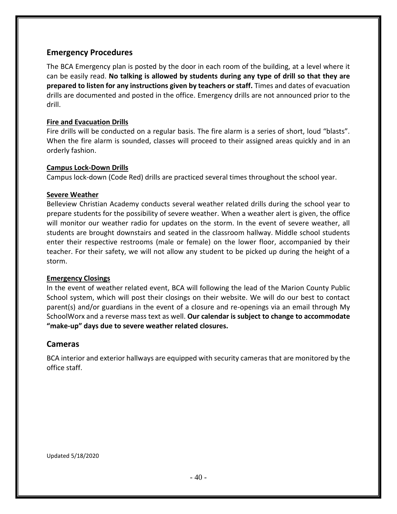#### **Emergency Procedures**

The BCA Emergency plan is posted by the door in each room of the building, at a level where it can be easily read. **No talking is allowed by students during any type of drill so that they are prepared to listen for any instructions given by teachers or staff.** Times and dates of evacuation drills are documented and posted in the office. Emergency drills are not announced prior to the drill.

#### **Fire and Evacuation Drills**

Fire drills will be conducted on a regular basis. The fire alarm is a series of short, loud "blasts". When the fire alarm is sounded, classes will proceed to their assigned areas quickly and in an orderly fashion.

#### **Campus Lock-Down Drills**

Campus lock-down (Code Red) drills are practiced several times throughout the school year.

#### **Severe Weather**

Belleview Christian Academy conducts several weather related drills during the school year to prepare students for the possibility of severe weather. When a weather alert is given, the office will monitor our weather radio for updates on the storm. In the event of severe weather, all students are brought downstairs and seated in the classroom hallway. Middle school students enter their respective restrooms (male or female) on the lower floor, accompanied by their teacher. For their safety, we will not allow any student to be picked up during the height of a storm.

#### **Emergency Closings**

In the event of weather related event, BCA will following the lead of the Marion County Public School system, which will post their closings on their website. We will do our best to contact parent(s) and/or guardians in the event of a closure and re-openings via an email through My SchoolWorx and a reverse mass text as well. **Our calendar is subject to change to accommodate "make-up" days due to severe weather related closures.**

#### **Cameras**

BCA interior and exterior hallways are equipped with security cameras that are monitored by the office staff.